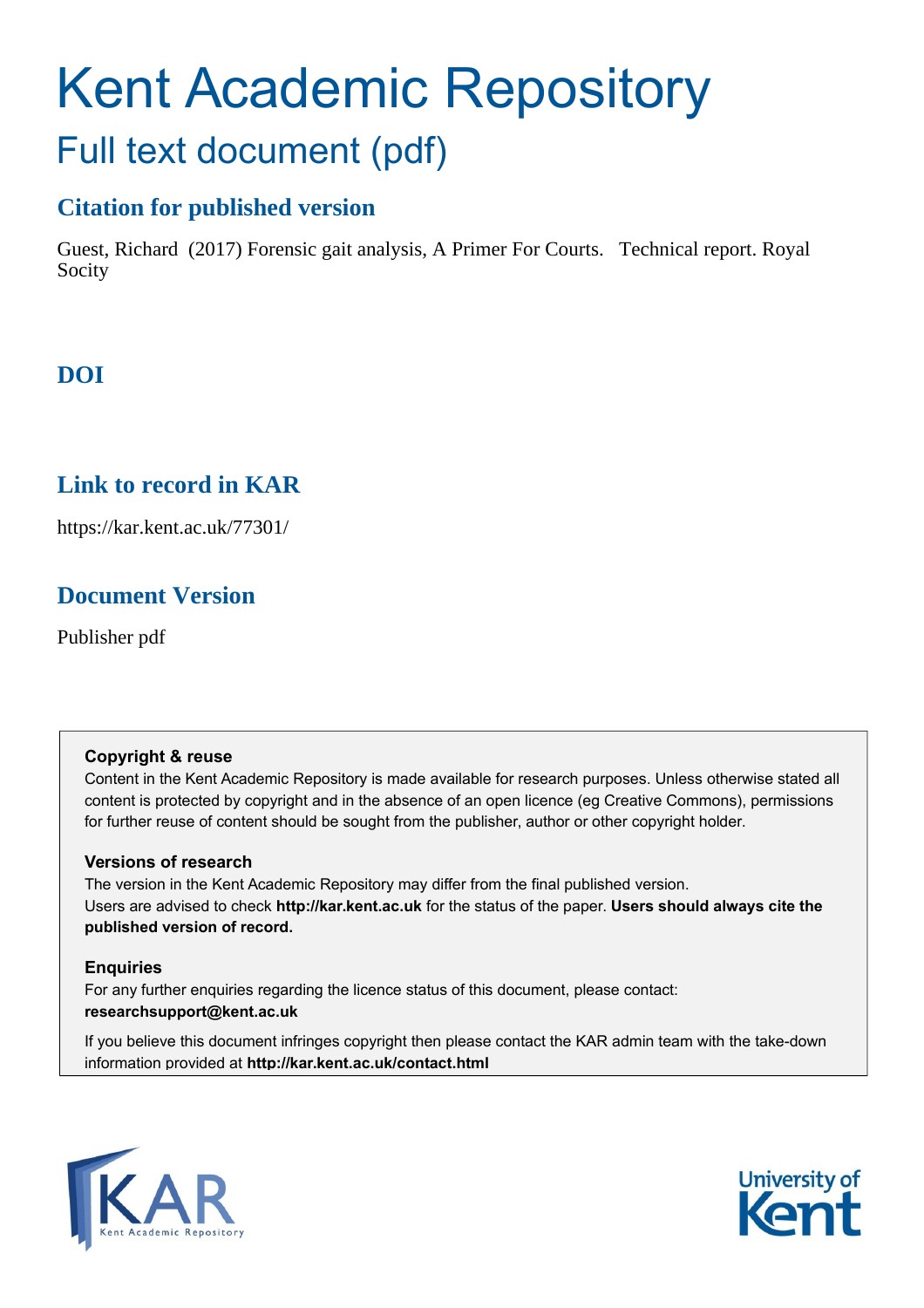# Kent Academic Repository Full text document (pdf)

### **Citation for published version**

Guest, Richard (2017) Forensic gait analysis, A Primer For Courts. Technical report. Royal Socity

### **DOI**

### **Link to record in KAR**

https://kar.kent.ac.uk/77301/

### **Document Version**

Publisher pdf

### **Copyright & reuse**

Content in the Kent Academic Repository is made available for research purposes. Unless otherwise stated all content is protected by copyright and in the absence of an open licence (eg Creative Commons), permissions for further reuse of content should be sought from the publisher, author or other copyright holder.

### **Versions of research**

The version in the Kent Academic Repository may differ from the final published version. Users are advised to check **http://kar.kent.ac.uk** for the status of the paper. **Users should always cite the published version of record.**

### **Enquiries**

For any further enquiries regarding the licence status of this document, please contact: **researchsupport@kent.ac.uk**

If you believe this document infringes copyright then please contact the KAR admin team with the take-down information provided at **http://kar.kent.ac.uk/contact.html**



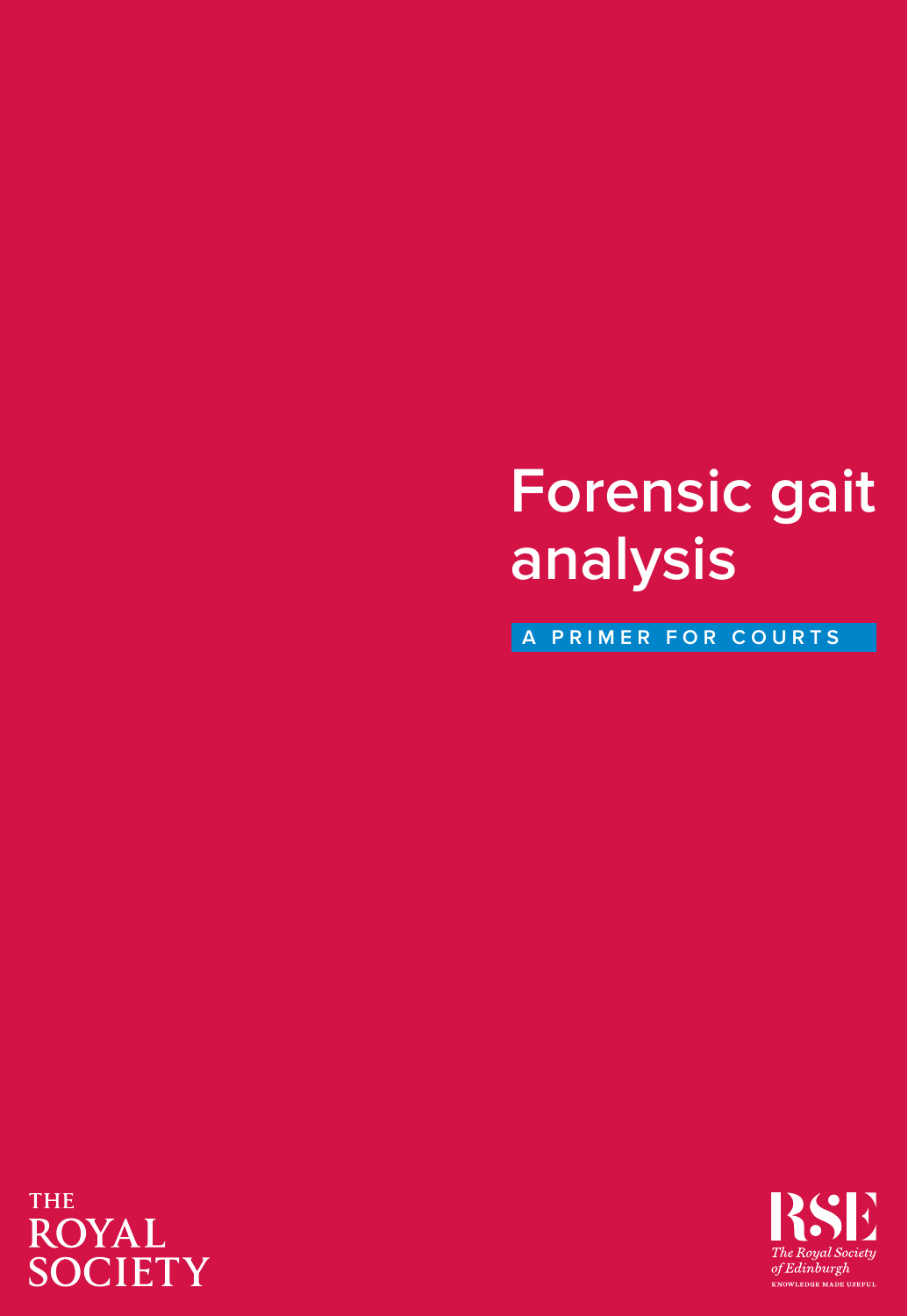# **Forensic gait analysis**

**A PRIMER FOR COURTS**

### **THE ROYAL SOCIETY**

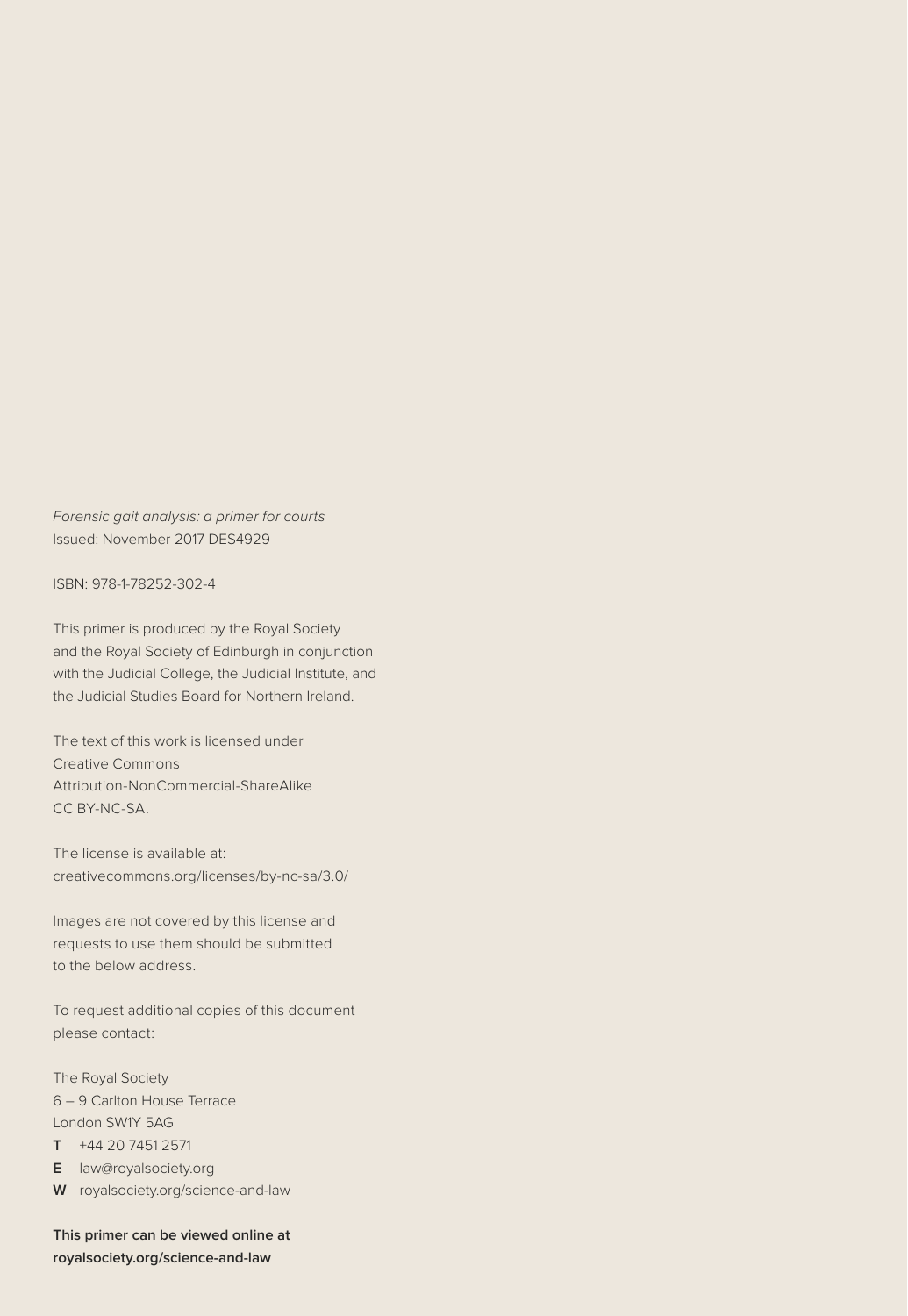*Forensic gait analysis: a primer for courts* Issued: November 2017 DES4929

ISBN: 978-1-78252-302-4

This primer is produced by the Royal Society and the Royal Society of Edinburgh in conjunction with the Judicial College, the Judicial Institute, and the Judicial Studies Board for Northern Ireland.

The text of this work is licensed under Creative Commons Attribution-NonCommercial-ShareAlike CC BY-NC-SA.

The license is available at: creativecommons.org/licenses/by-nc-sa/3.0/

Images are not covered by this license and requests to use them should be submitted to the below address.

To request additional copies of this document please contact:

The Royal Society 6 – 9 Carlton House Terrace London SW1Y 5AG

**T** +44 20 7451 2571

**E** law@royalsociety.org

**W** royalsociety.org/science-and-law

**This primer can be viewed online at royalsociety.org/science-and-law**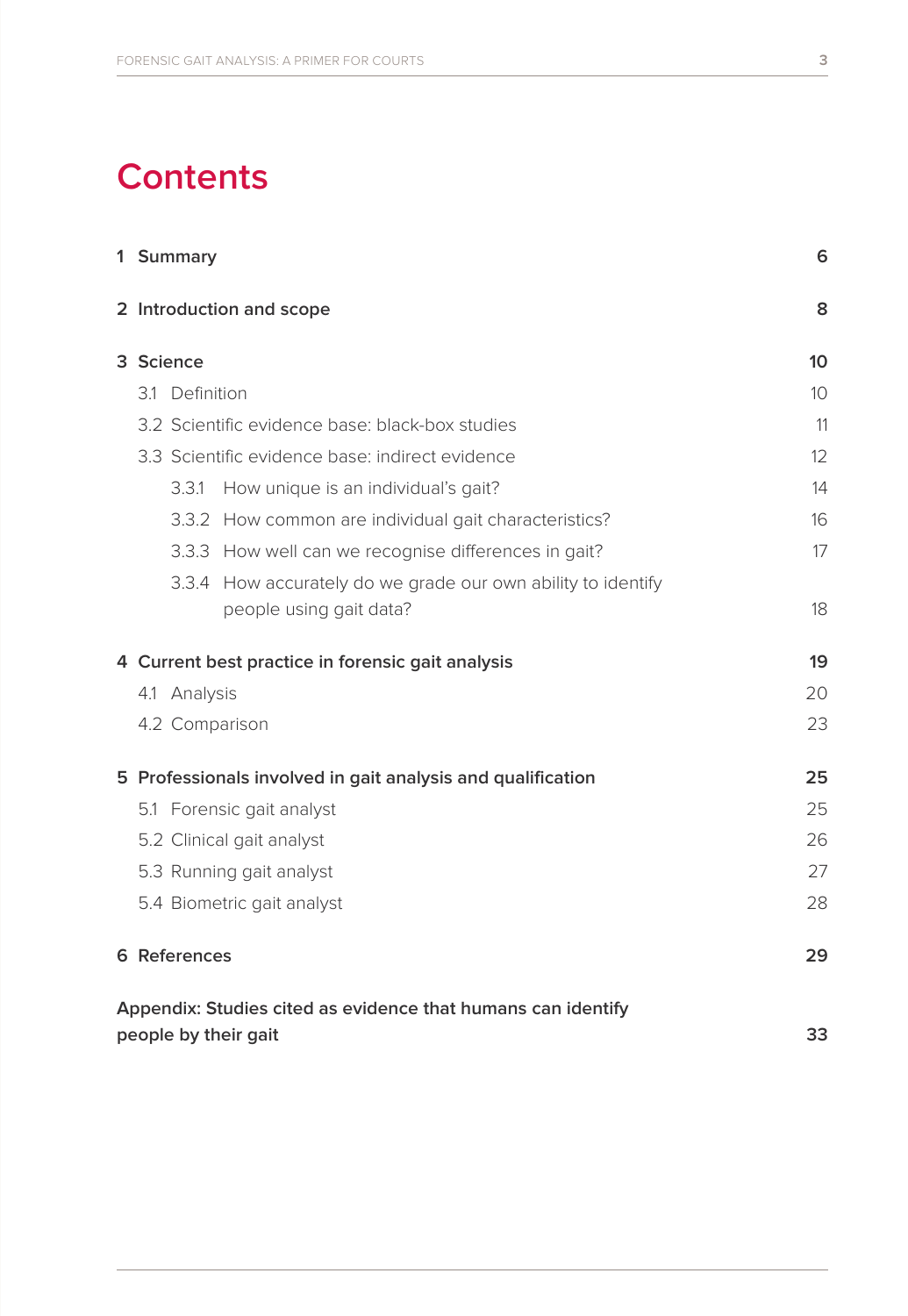## **Contents**

|                      |                                                   | 1 Summary                |                                                              | 6  |  |  |  |
|----------------------|---------------------------------------------------|--------------------------|--------------------------------------------------------------|----|--|--|--|
|                      |                                                   | 2 Introduction and scope |                                                              |    |  |  |  |
|                      | 3 Science                                         |                          |                                                              |    |  |  |  |
|                      | 3.1 Definition                                    |                          |                                                              | 10 |  |  |  |
|                      | 3.2 Scientific evidence base: black-box studies   |                          |                                                              | 11 |  |  |  |
|                      | 3.3 Scientific evidence base: indirect evidence   |                          | 12                                                           |    |  |  |  |
|                      |                                                   | 3.3.1                    | How unique is an individual's gait?                          | 14 |  |  |  |
|                      |                                                   |                          | 3.3.2 How common are individual gait characteristics?        | 16 |  |  |  |
|                      |                                                   |                          | 3.3.3 How well can we recognise differences in gait?         | 17 |  |  |  |
|                      |                                                   |                          | 3.3.4 How accurately do we grade our own ability to identify |    |  |  |  |
|                      |                                                   |                          | people using gait data?                                      | 18 |  |  |  |
|                      | 4 Current best practice in forensic gait analysis | 19                       |                                                              |    |  |  |  |
|                      | 4.1 Analysis                                      |                          |                                                              | 20 |  |  |  |
|                      |                                                   |                          | 4.2 Comparison                                               | 23 |  |  |  |
|                      |                                                   |                          | 5 Professionals involved in gait analysis and qualification  | 25 |  |  |  |
|                      | 5.1 Forensic gait analyst                         |                          |                                                              |    |  |  |  |
|                      | 5.2 Clinical gait analyst                         | 26                       |                                                              |    |  |  |  |
|                      |                                                   |                          | 5.3 Running gait analyst                                     | 27 |  |  |  |
|                      |                                                   |                          | 5.4 Biometric gait analyst                                   | 28 |  |  |  |
|                      |                                                   | 6 References             |                                                              | 29 |  |  |  |
|                      |                                                   |                          | Appendix: Studies cited as evidence that humans can identify |    |  |  |  |
| people by their gait |                                                   |                          |                                                              |    |  |  |  |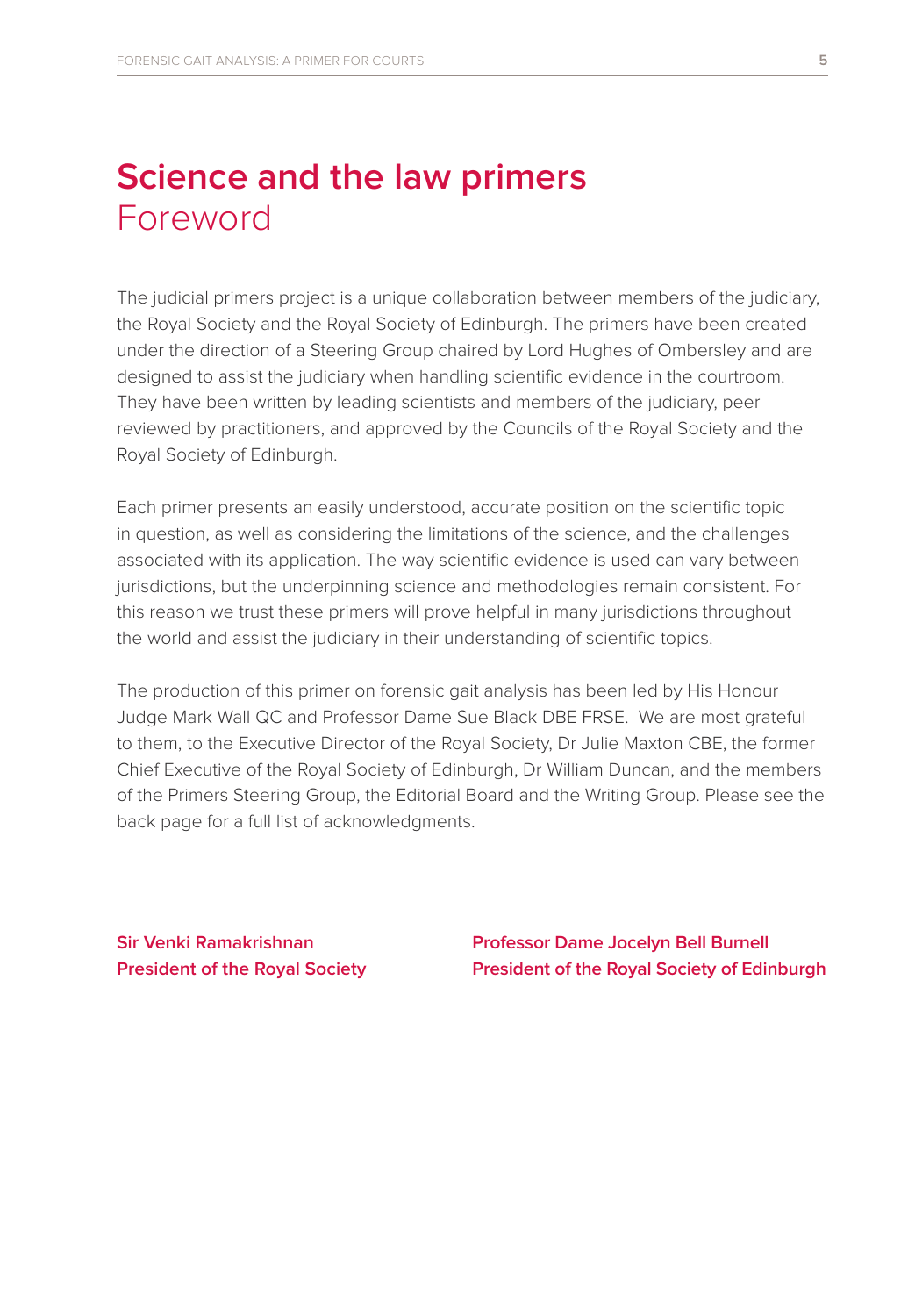### **Science and the law primers**  Foreword

The judicial primers project is a unique collaboration between members of the judiciary, the Royal Society and the Royal Society of Edinburgh. The primers have been created under the direction of a Steering Group chaired by Lord Hughes of Ombersley and are designed to assist the judiciary when handling scientific evidence in the courtroom. They have been written by leading scientists and members of the judiciary, peer reviewed by practitioners, and approved by the Councils of the Royal Society and the Royal Society of Edinburgh.

Each primer presents an easily understood, accurate position on the scientific topic in question, as well as considering the limitations of the science, and the challenges associated with its application. The way scientific evidence is used can vary between jurisdictions, but the underpinning science and methodologies remain consistent. For this reason we trust these primers will prove helpful in many jurisdictions throughout the world and assist the judiciary in their understanding of scientific topics.

The production of this primer on forensic gait analysis has been led by His Honour Judge Mark Wall QC and Professor Dame Sue Black DBE FRSE. We are most grateful to them, to the Executive Director of the Royal Society, Dr Julie Maxton CBE, the former Chief Executive of the Royal Society of Edinburgh, Dr William Duncan, and the members of the Primers Steering Group, the Editorial Board and the Writing Group. Please see the back page for a full list of acknowledgments.

**Sir Venki Ramakrishnan President of the Royal Society**  **Professor Dame Jocelyn Bell Burnell President of the Royal Society of Edinburgh**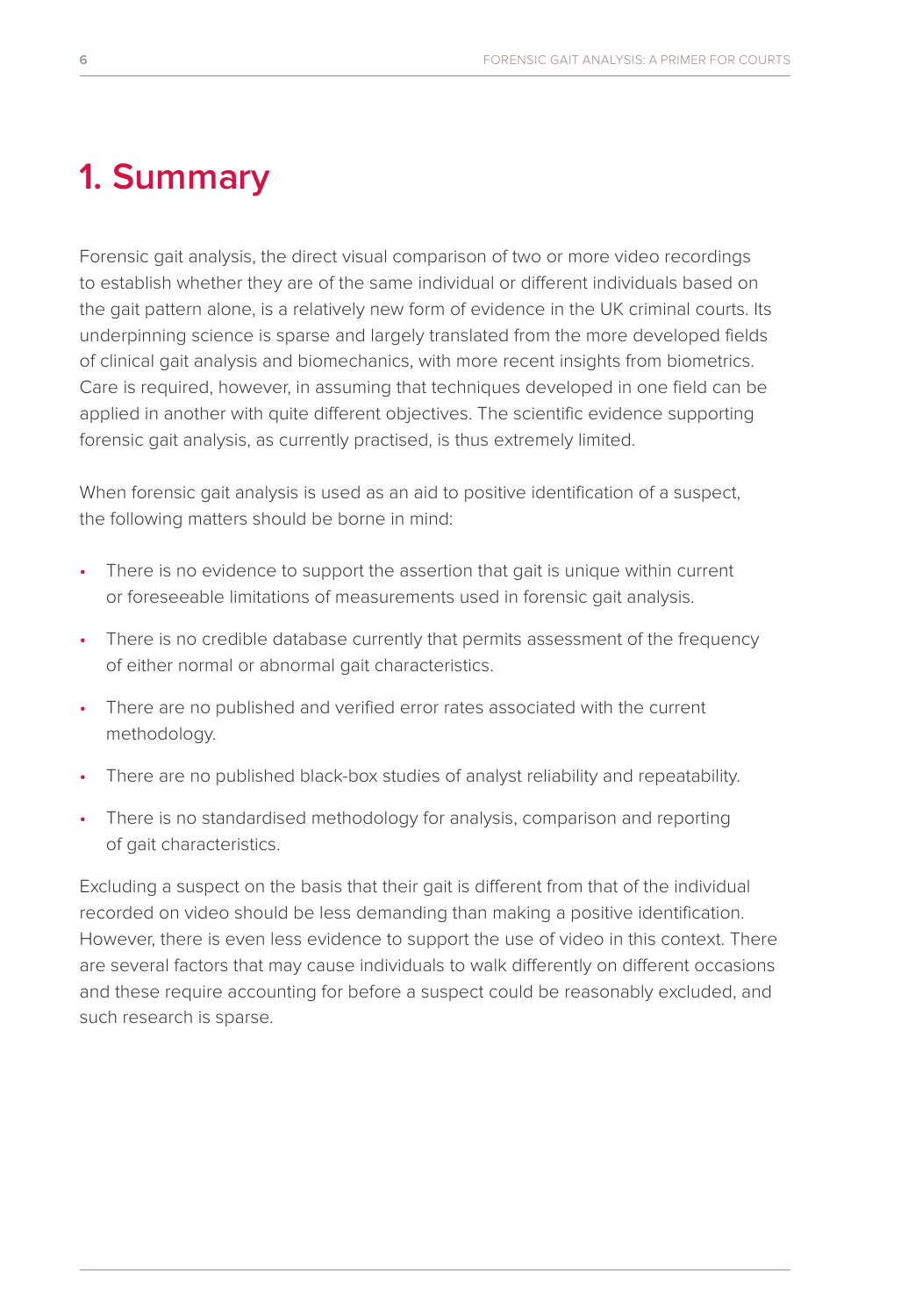### **1. Summary**

Forensic gait analysis, the direct visual comparison of two or more video recordings to establish whether they are of the same individual or different individuals based on the gait pattern alone, is a relatively new form of evidence in the UK criminal courts. Its underpinning science is sparse and largely translated from the more developed fields of clinical gait analysis and biomechanics, with more recent insights from biometrics. Care is required, however, in assuming that techniques developed in one field can be applied in another with quite different objectives. The scientific evidence supporting forensic gait analysis, as currently practised, is thus extremely limited.

When forensic gait analysis is used as an aid to positive identification of a suspect, the following matters should be borne in mind:

- There is no evidence to support the assertion that gait is unique within current or foreseeable limitations of measurements used in forensic gait analysis.
- There is no credible database currently that permits assessment of the frequency of either normal or abnormal gait characteristics.
- There are no published and verified error rates associated with the current methodology.
- There are no published black-box studies of analyst reliability and repeatability.
- There is no standardised methodology for analysis, comparison and reporting of gait characteristics.

Excluding a suspect on the basis that their gait is different from that of the individual recorded on video should be less demanding than making a positive identification. However, there is even less evidence to support the use of video in this context. There are several factors that may cause individuals to walk differently on different occasions and these require accounting for before a suspect could be reasonably excluded, and such research is sparse.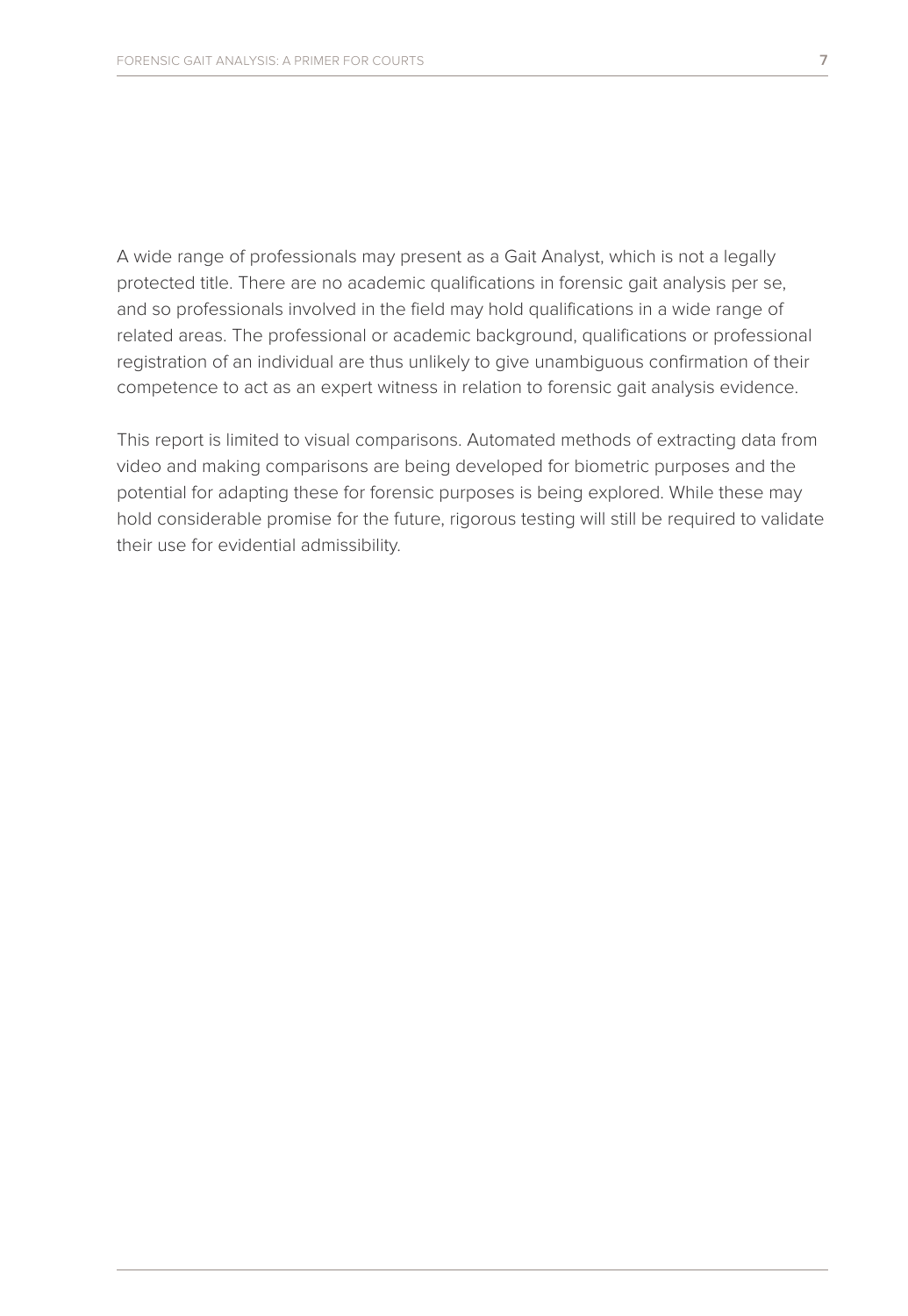A wide range of professionals may present as a Gait Analyst, which is not a legally protected title. There are no academic qualifications in forensic gait analysis per se, and so professionals involved in the field may hold qualifications in a wide range of related areas. The professional or academic background, qualifications or professional registration of an individual are thus unlikely to give unambiguous confirmation of their competence to act as an expert witness in relation to forensic gait analysis evidence.

This report is limited to visual comparisons. Automated methods of extracting data from video and making comparisons are being developed for biometric purposes and the potential for adapting these for forensic purposes is being explored. While these may hold considerable promise for the future, rigorous testing will still be required to validate their use for evidential admissibility.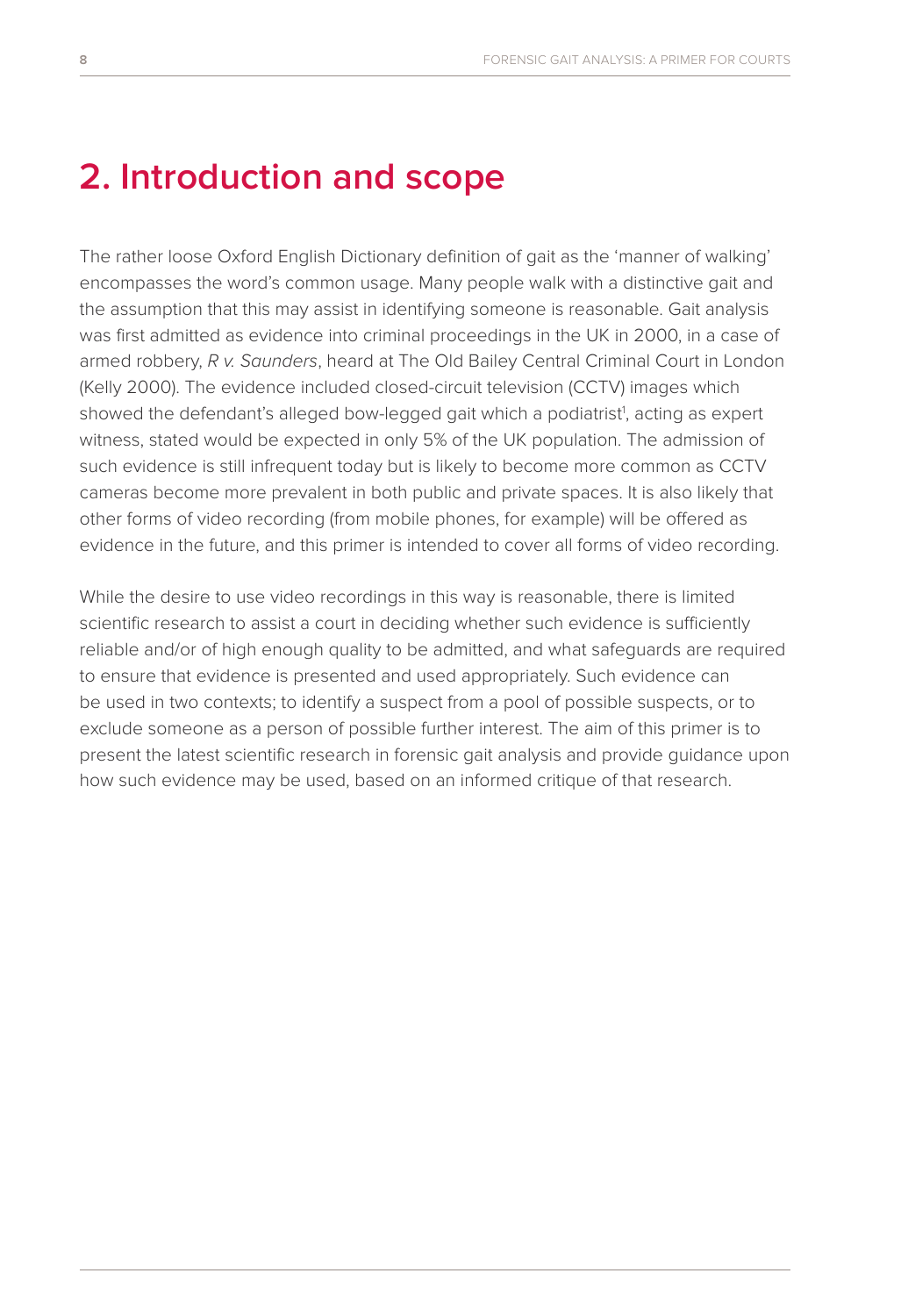### **2. Introduction and scope**

The rather loose Oxford English Dictionary definition of gait as the 'manner of walking' encompasses the word's common usage. Many people walk with a distinctive gait and the assumption that this may assist in identifying someone is reasonable. Gait analysis was first admitted as evidence into criminal proceedings in the UK in 2000, in a case of armed robbery, *R v. Saunders*, heard at The Old Bailey Central Criminal Court in London (Kelly 2000). The evidence included closed-circuit television (CCTV) images which showed the defendant's alleged bow-legged gait which a podiatrist<sup>1</sup>, acting as expert witness, stated would be expected in only 5% of the UK population. The admission of such evidence is still infrequent today but is likely to become more common as CCTV cameras become more prevalent in both public and private spaces. It is also likely that other forms of video recording (from mobile phones, for example) will be offered as evidence in the future, and this primer is intended to cover all forms of video recording.

While the desire to use video recordings in this way is reasonable, there is limited scientific research to assist a court in deciding whether such evidence is sufficiently reliable and/or of high enough quality to be admitted, and what safeguards are required to ensure that evidence is presented and used appropriately. Such evidence can be used in two contexts; to identify a suspect from a pool of possible suspects, or to exclude someone as a person of possible further interest. The aim of this primer is to present the latest scientific research in forensic gait analysis and provide guidance upon how such evidence may be used, based on an informed critique of that research.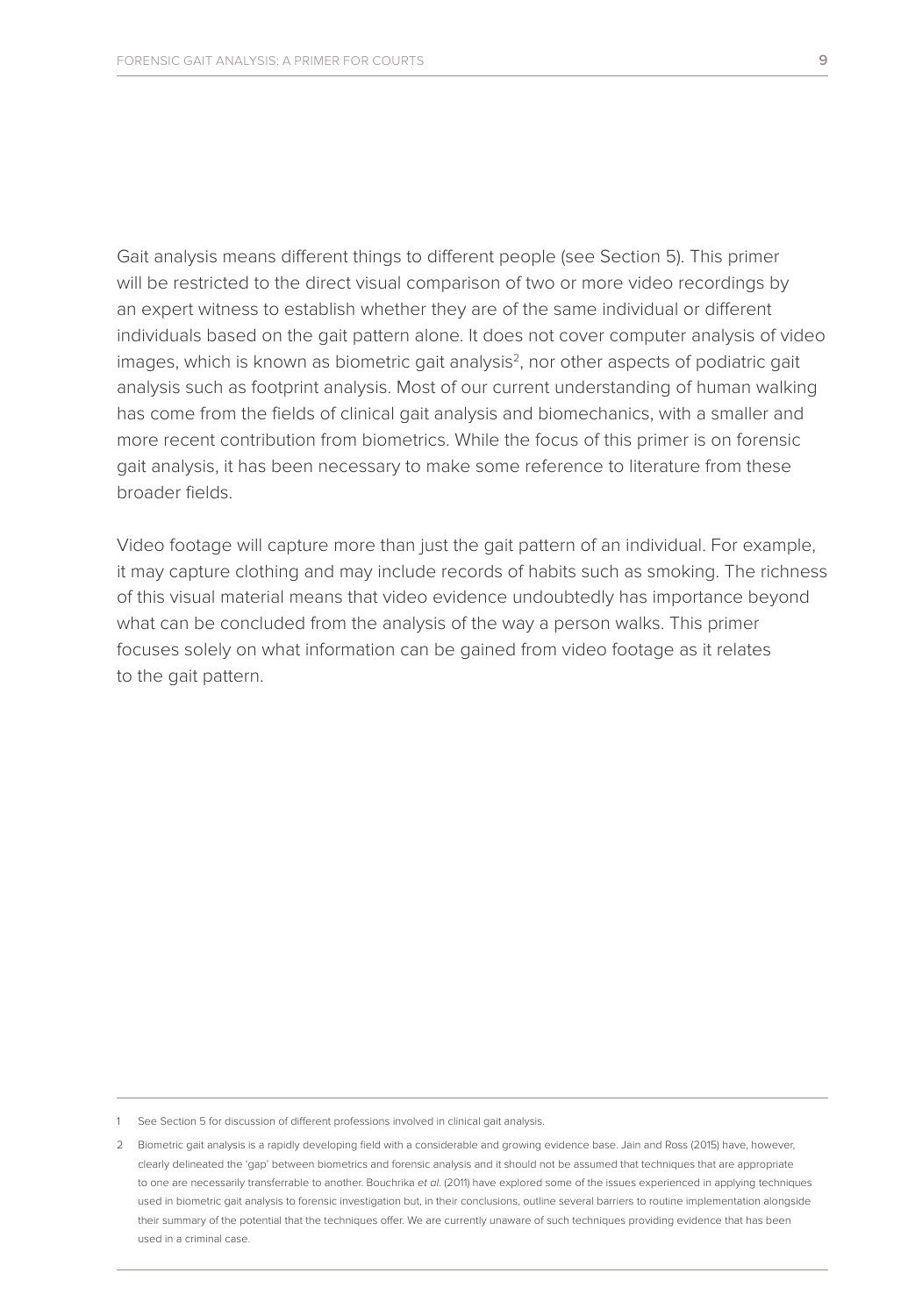Gait analysis means different things to different people (see Section 5). This primer will be restricted to the direct visual comparison of two or more video recordings by an expert witness to establish whether they are of the same individual or different individuals based on the gait pattern alone. It does not cover computer analysis of video images, which is known as biometric gait analysis<sup>2</sup>, nor other aspects of podiatric gait analysis such as footprint analysis. Most of our current understanding of human walking has come from the fields of clinical gait analysis and biomechanics, with a smaller and more recent contribution from biometrics. While the focus of this primer is on forensic gait analysis, it has been necessary to make some reference to literature from these broader fields.

Video footage will capture more than just the gait pattern of an individual. For example, it may capture clothing and may include records of habits such as smoking. The richness of this visual material means that video evidence undoubtedly has importance beyond what can be concluded from the analysis of the way a person walks. This primer focuses solely on what information can be gained from video footage as it relates to the gait pattern.

<sup>1</sup> See Section 5 for discussion of different professions involved in clinical gait analysis.

<sup>2</sup> Biometric gait analysis is a rapidly developing field with a considerable and growing evidence base. Jain and Ross (2015) have, however, clearly delineated the 'gap' between biometrics and forensic analysis and it should not be assumed that techniques that are appropriate to one are necessarily transferrable to another. Bouchrika *et al*. (2011) have explored some of the issues experienced in applying techniques used in biometric gait analysis to forensic investigation but, in their conclusions, outline several barriers to routine implementation alongside their summary of the potential that the techniques offer. We are currently unaware of such techniques providing evidence that has been used in a criminal case.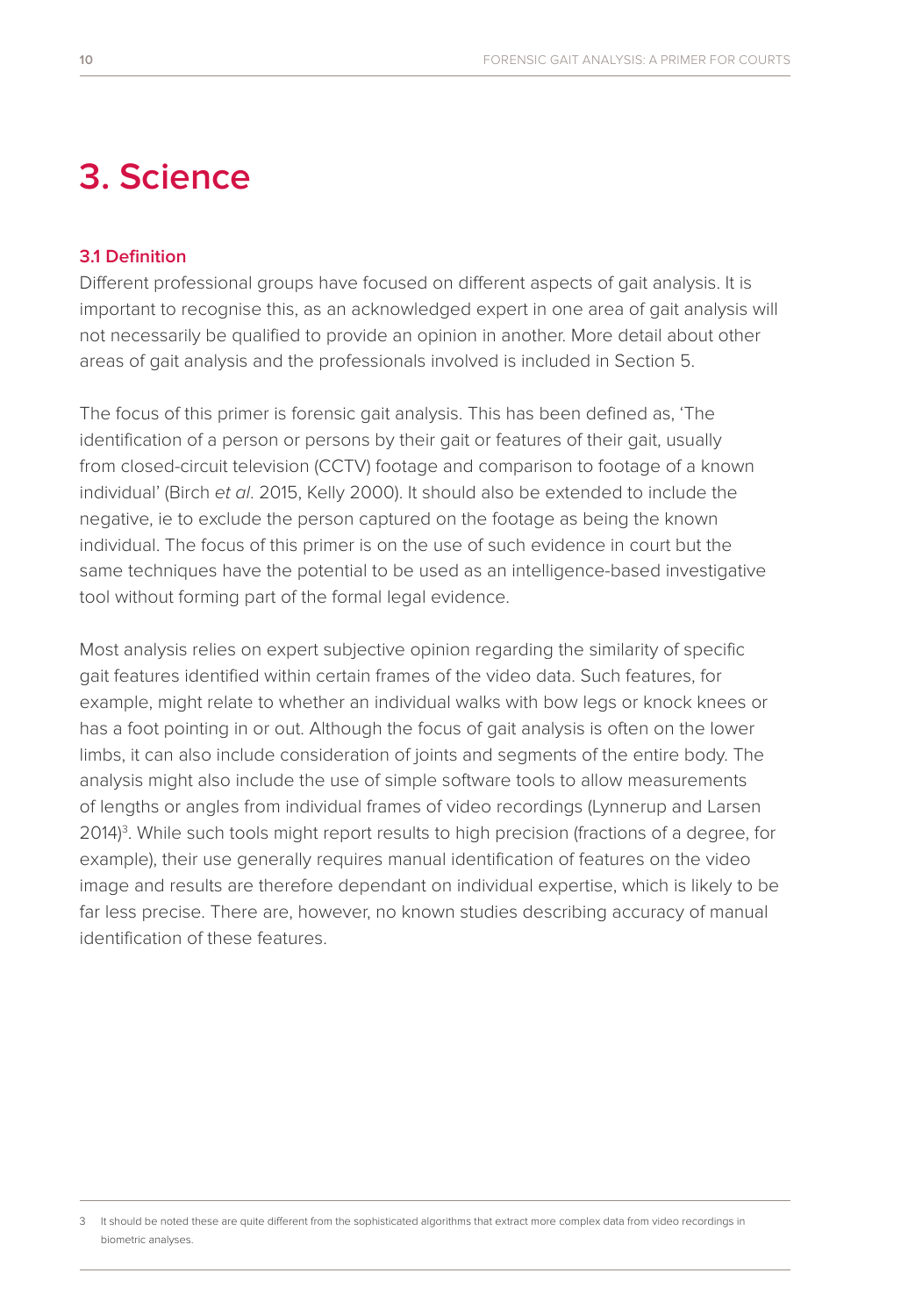### **3. Science**

### **3.1 Definition**

Different professional groups have focused on different aspects of gait analysis. It is important to recognise this, as an acknowledged expert in one area of gait analysis will not necessarily be qualified to provide an opinion in another. More detail about other areas of gait analysis and the professionals involved is included in Section 5.

The focus of this primer is forensic gait analysis. This has been defined as, 'The identification of a person or persons by their gait or features of their gait, usually from closed-circuit television (CCTV) footage and comparison to footage of a known individual' (Birch *et al*. 2015, Kelly 2000). It should also be extended to include the negative, ie to exclude the person captured on the footage as being the known individual. The focus of this primer is on the use of such evidence in court but the same techniques have the potential to be used as an intelligence-based investigative tool without forming part of the formal legal evidence.

Most analysis relies on expert subjective opinion regarding the similarity of specific gait features identified within certain frames of the video data. Such features, for example, might relate to whether an individual walks with bow legs or knock knees or has a foot pointing in or out. Although the focus of gait analysis is often on the lower limbs, it can also include consideration of joints and segments of the entire body. The analysis might also include the use of simple software tools to allow measurements of lengths or angles from individual frames of video recordings (Lynnerup and Larsen 2014)<sup>3</sup>. While such tools might report results to high precision (fractions of a degree, for example), their use generally requires manual identification of features on the video image and results are therefore dependant on individual expertise, which is likely to be far less precise. There are, however, no known studies describing accuracy of manual identification of these features.

3 It should be noted these are quite different from the sophisticated algorithms that extract more complex data from video recordings in biometric analyses.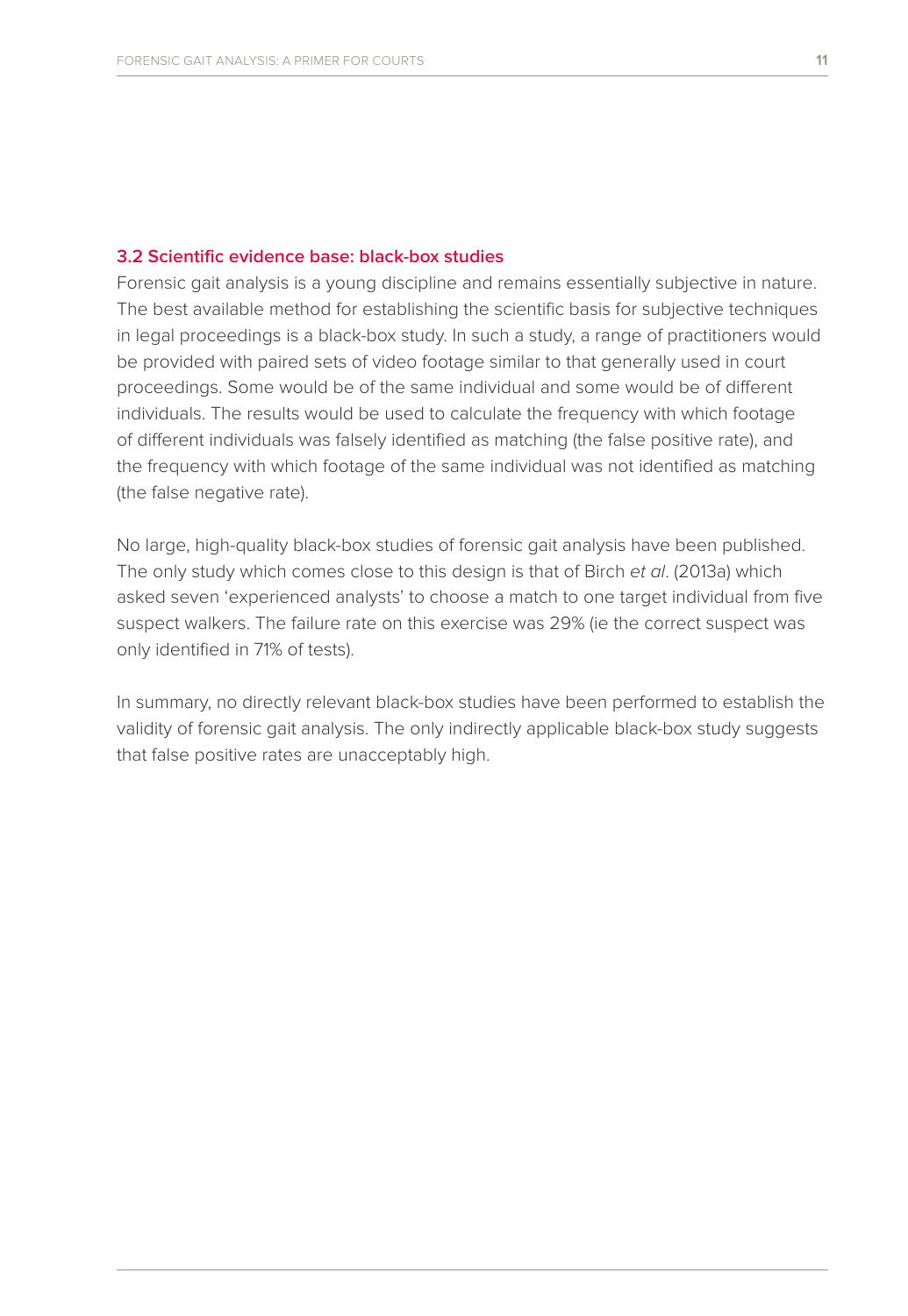#### **3.2 Scientific evidence base: black-box studies**

Forensic gait analysis is a young discipline and remains essentially subjective in nature. The best available method for establishing the scientific basis for subjective techniques in legal proceedings is a black-box study. In such a study, a range of practitioners would be provided with paired sets of video footage similar to that generally used in court proceedings. Some would be of the same individual and some would be of different individuals. The results would be used to calculate the frequency with which footage of different individuals was falsely identified as matching (the false positive rate), and the frequency with which footage of the same individual was not identified as matching (the false negative rate).

No large, high-quality black-box studies of forensic gait analysis have been published. The only study which comes close to this design is that of Birch *et al*. (2013a) which asked seven 'experienced analysts' to choose a match to one target individual from five suspect walkers. The failure rate on this exercise was 29% (ie the correct suspect was only identified in 71% of tests).

In summary, no directly relevant black-box studies have been performed to establish the validity of forensic gait analysis. The only indirectly applicable black-box study suggests that false positive rates are unacceptably high.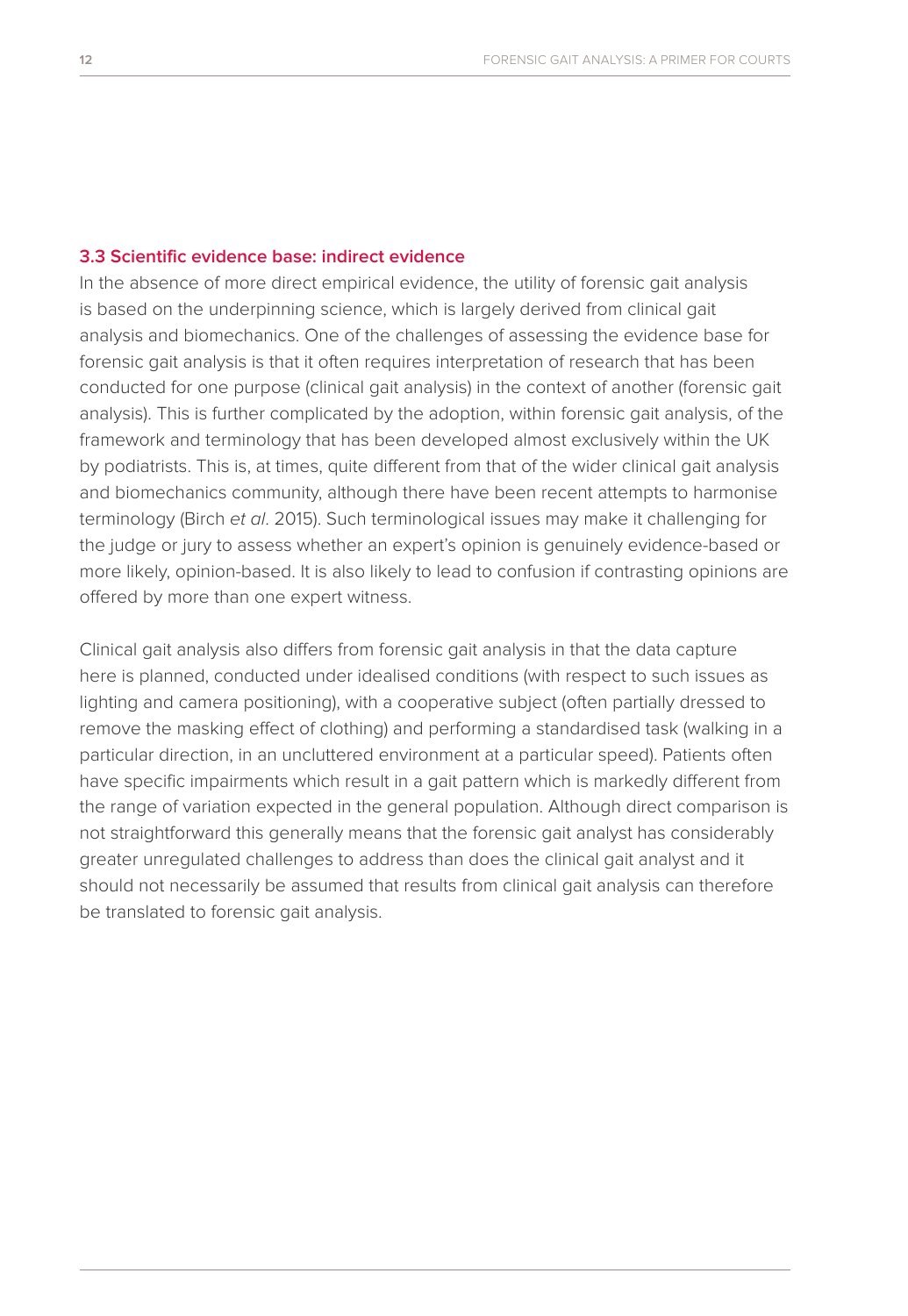#### **3.3 Scientific evidence base: indirect evidence**

In the absence of more direct empirical evidence, the utility of forensic gait analysis is based on the underpinning science, which is largely derived from clinical gait analysis and biomechanics. One of the challenges of assessing the evidence base for forensic gait analysis is that it often requires interpretation of research that has been conducted for one purpose (clinical gait analysis) in the context of another (forensic gait analysis). This is further complicated by the adoption, within forensic gait analysis, of the framework and terminology that has been developed almost exclusively within the UK by podiatrists. This is, at times, quite different from that of the wider clinical gait analysis and biomechanics community, although there have been recent attempts to harmonise terminology (Birch *et al*. 2015). Such terminological issues may make it challenging for the judge or jury to assess whether an expert's opinion is genuinely evidence-based or more likely, opinion-based. It is also likely to lead to confusion if contrasting opinions are offered by more than one expert witness.

Clinical gait analysis also differs from forensic gait analysis in that the data capture here is planned, conducted under idealised conditions (with respect to such issues as lighting and camera positioning), with a cooperative subject (often partially dressed to remove the masking effect of clothing) and performing a standardised task (walking in a particular direction, in an uncluttered environment at a particular speed). Patients often have specific impairments which result in a gait pattern which is markedly different from the range of variation expected in the general population. Although direct comparison is not straightforward this generally means that the forensic gait analyst has considerably greater unregulated challenges to address than does the clinical gait analyst and it should not necessarily be assumed that results from clinical gait analysis can therefore be translated to forensic gait analysis.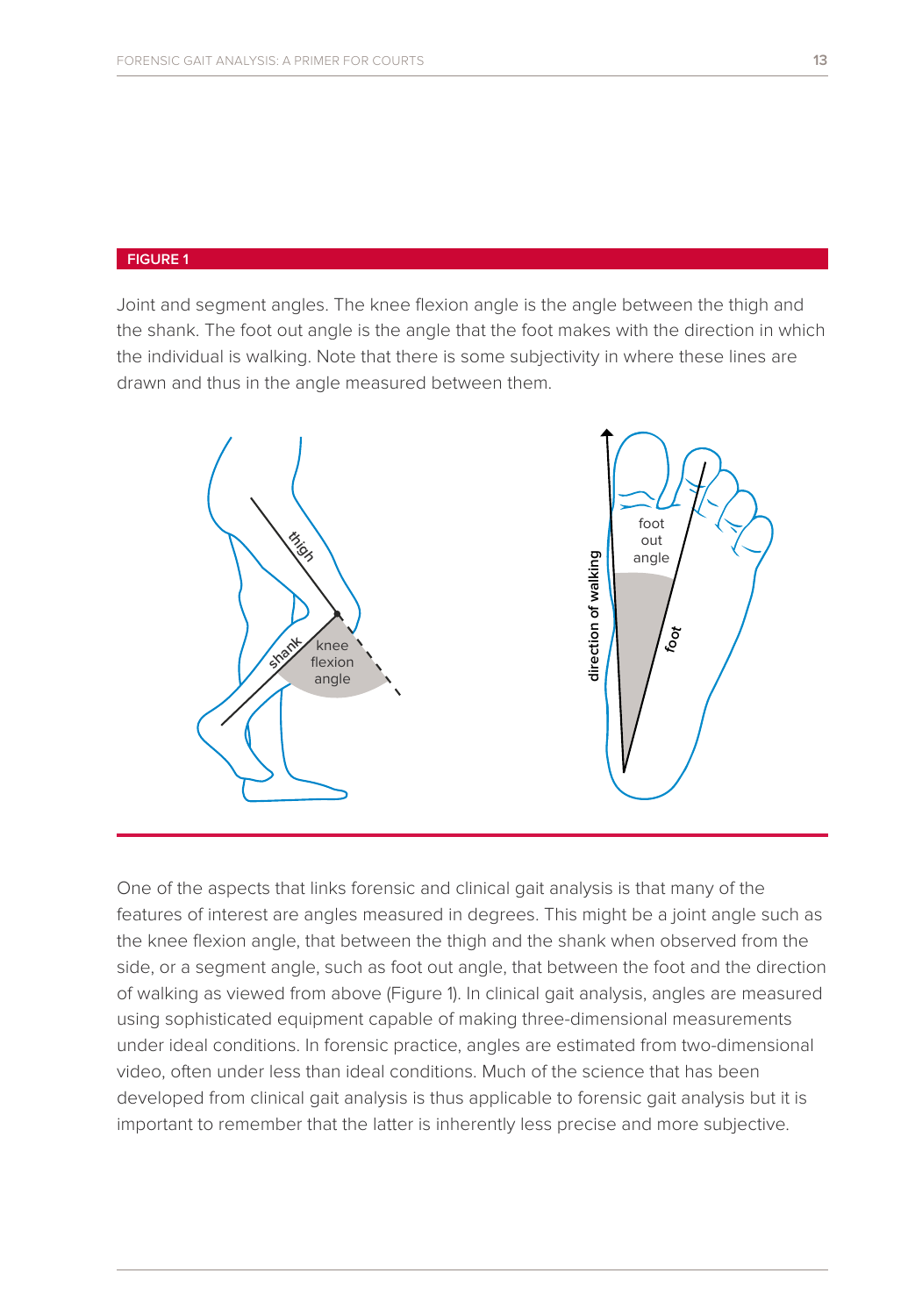#### **FIGURE 1**

Joint and segment angles. The knee flexion angle is the angle between the thigh and the shank. The foot out angle is the angle that the foot makes with the direction in which the individual is walking. Note that there is some subjectivity in where these lines are drawn and thus in the angle measured between them.



One of the aspects that links forensic and clinical gait analysis is that many of the features of interest are angles measured in degrees. This might be a joint angle such as the knee flexion angle, that between the thigh and the shank when observed from the side, or a segment angle, such as foot out angle, that between the foot and the direction of walking as viewed from above (Figure 1). In clinical gait analysis, angles are measured using sophisticated equipment capable of making three-dimensional measurements under ideal conditions. In forensic practice, angles are estimated from two-dimensional video, often under less than ideal conditions. Much of the science that has been developed from clinical gait analysis is thus applicable to forensic gait analysis but it is important to remember that the latter is inherently less precise and more subjective.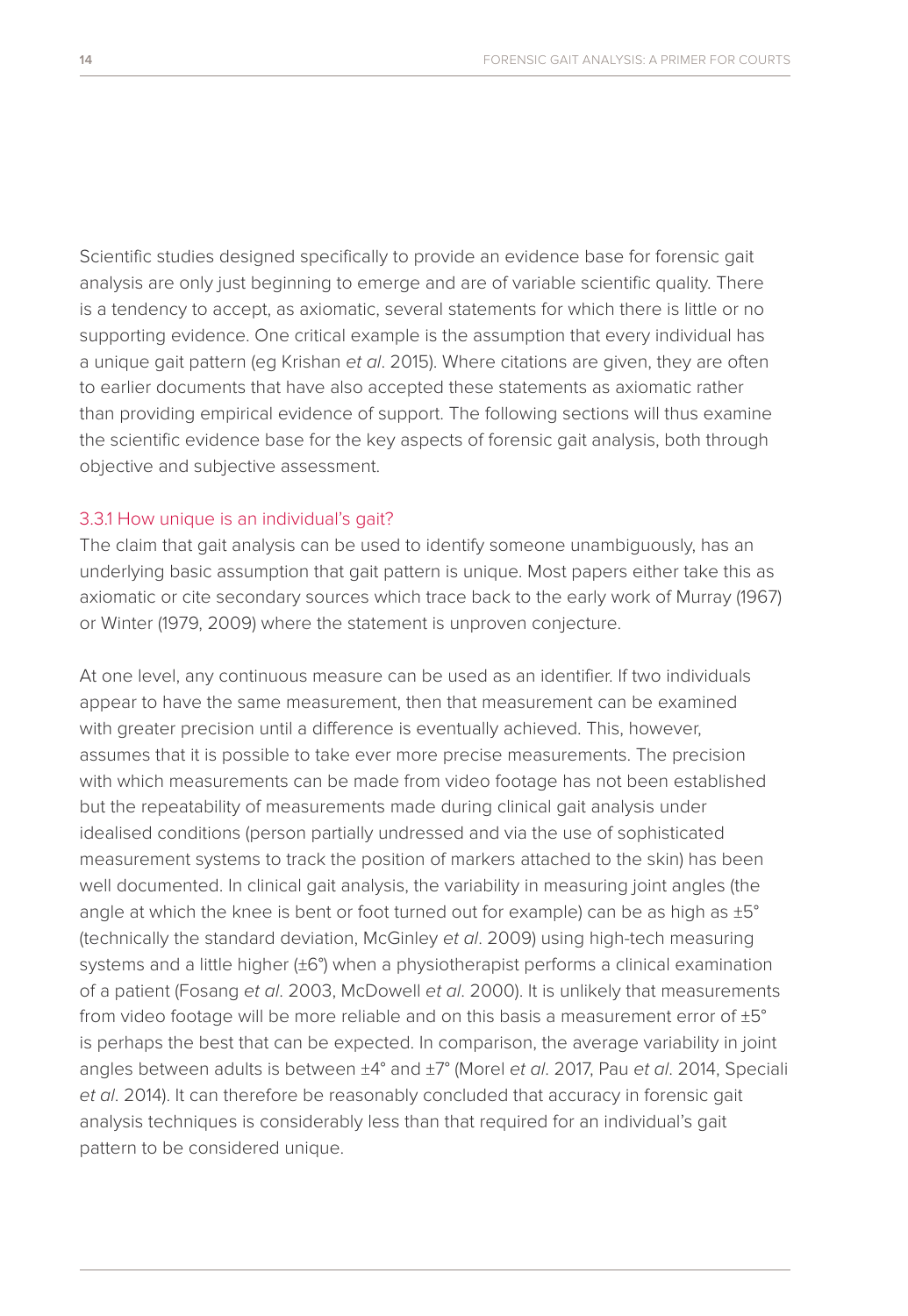Scientific studies designed specifically to provide an evidence base for forensic gait analysis are only just beginning to emerge and are of variable scientific quality. There is a tendency to accept, as axiomatic, several statements for which there is little or no supporting evidence. One critical example is the assumption that every individual has a unique gait pattern (eg Krishan *et al*. 2015). Where citations are given, they are often to earlier documents that have also accepted these statements as axiomatic rather than providing empirical evidence of support. The following sections will thus examine the scientific evidence base for the key aspects of forensic gait analysis, both through objective and subjective assessment.

#### 3.3.1 How unique is an individual's gait?

The claim that gait analysis can be used to identify someone unambiguously, has an underlying basic assumption that gait pattern is unique. Most papers either take this as axiomatic or cite secondary sources which trace back to the early work of Murray (1967) or Winter (1979, 2009) where the statement is unproven conjecture.

At one level, any continuous measure can be used as an identifier. If two individuals appear to have the same measurement, then that measurement can be examined with greater precision until a difference is eventually achieved. This, however, assumes that it is possible to take ever more precise measurements. The precision with which measurements can be made from video footage has not been established but the repeatability of measurements made during clinical gait analysis under idealised conditions (person partially undressed and via the use of sophisticated measurement systems to track the position of markers attached to the skin) has been well documented. In clinical gait analysis, the variability in measuring joint angles (the angle at which the knee is bent or foot turned out for example) can be as high as  $\pm 5^{\circ}$ (technically the standard deviation, McGinley *et al*. 2009) using high-tech measuring systems and a little higher (±6°) when a physiotherapist performs a clinical examination of a patient (Fosang *et al*. 2003, McDowell *et al*. 2000). It is unlikely that measurements from video footage will be more reliable and on this basis a measurement error of ±5° is perhaps the best that can be expected. In comparison, the average variability in joint angles between adults is between ±4° and ±7° (Morel *et al*. 2017, Pau *et al*. 2014, Speciali *et al*. 2014). It can therefore be reasonably concluded that accuracy in forensic gait analysis techniques is considerably less than that required for an individual's gait pattern to be considered unique.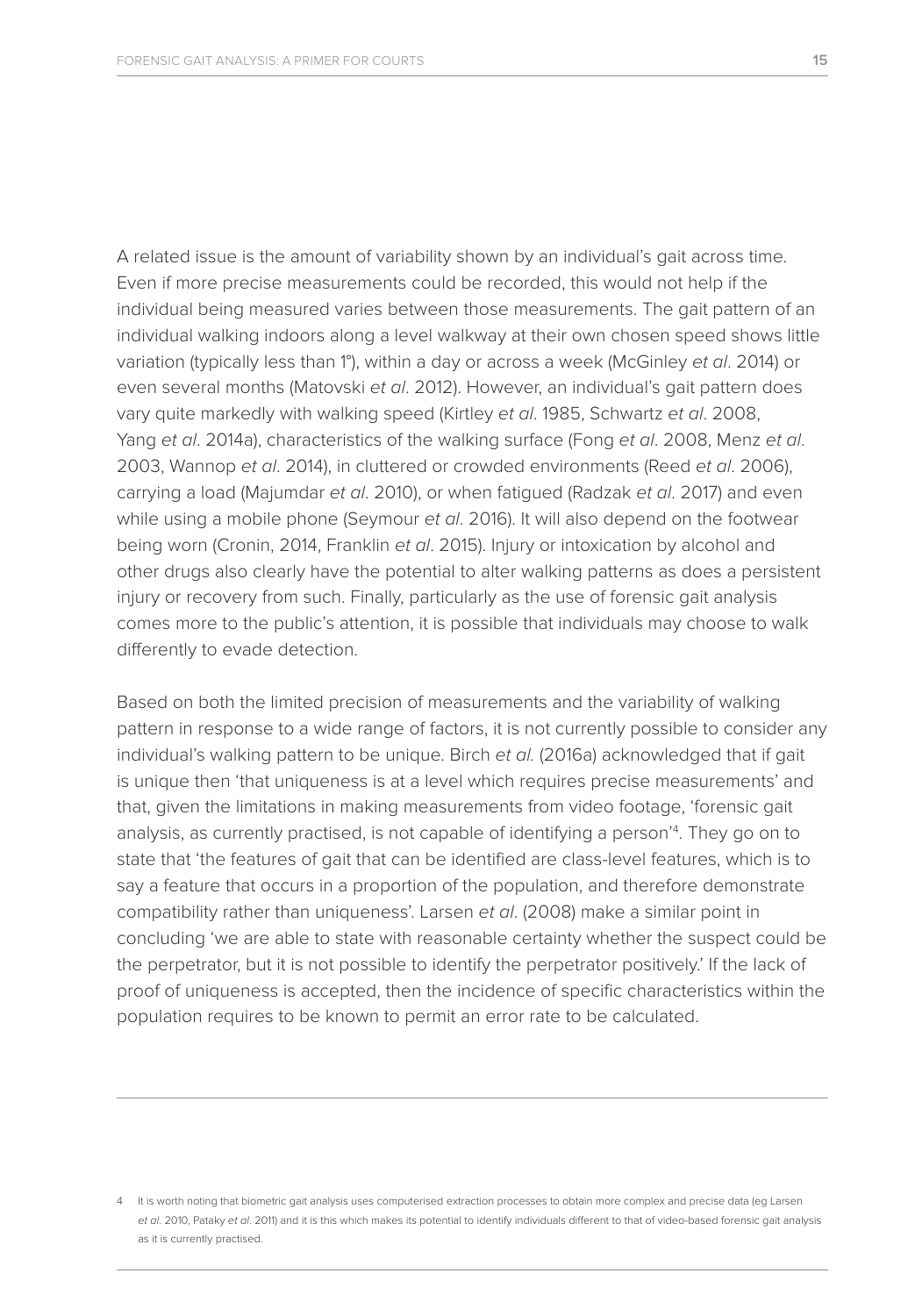A related issue is the amount of variability shown by an individual's gait across time. Even if more precise measurements could be recorded, this would not help if the individual being measured varies between those measurements. The gait pattern of an individual walking indoors along a level walkway at their own chosen speed shows little variation (typically less than 1°), within a day or across a week (McGinley *et al*. 2014) or even several months (Matovski *et al*. 2012). However, an individual's gait pattern does vary quite markedly with walking speed (Kirtley *et al*. 1985, Schwartz *et al*. 2008, Yang *et al*. 2014a), characteristics of the walking surface (Fong *et al*. 2008, Menz *et al*. 2003, Wannop *et al*. 2014), in cluttered or crowded environments (Reed *et al*. 2006), carrying a load (Majumdar *et al*. 2010), or when fatigued (Radzak *et al*. 2017) and even while using a mobile phone (Seymour *et al*. 2016). It will also depend on the footwear being worn (Cronin, 2014, Franklin *et al*. 2015). Injury or intoxication by alcohol and other drugs also clearly have the potential to alter walking patterns as does a persistent injury or recovery from such. Finally, particularly as the use of forensic gait analysis comes more to the public's attention, it is possible that individuals may choose to walk differently to evade detection.

Based on both the limited precision of measurements and the variability of walking pattern in response to a wide range of factors, it is not currently possible to consider any individual's walking pattern to be unique. Birch *et al.* (2016a) acknowledged that if gait is unique then 'that uniqueness is at a level which requires precise measurements' and that, given the limitations in making measurements from video footage, 'forensic gait analysis, as currently practised, is not capable of identifying a person'4 . They go on to state that 'the features of gait that can be identified are class-level features, which is to say a feature that occurs in a proportion of the population, and therefore demonstrate compatibility rather than uniqueness'. Larsen *et al*. (2008) make a similar point in concluding 'we are able to state with reasonable certainty whether the suspect could be the perpetrator, but it is not possible to identify the perpetrator positively.' If the lack of proof of uniqueness is accepted, then the incidence of specific characteristics within the population requires to be known to permit an error rate to be calculated.

<sup>4</sup> It is worth noting that biometric gait analysis uses computerised extraction processes to obtain more complex and precise data (eg Larsen *et al*. 2010, Pataky *et al*. 2011) and it is this which makes its potential to identify individuals different to that of video-based forensic gait analysis as it is currently practised.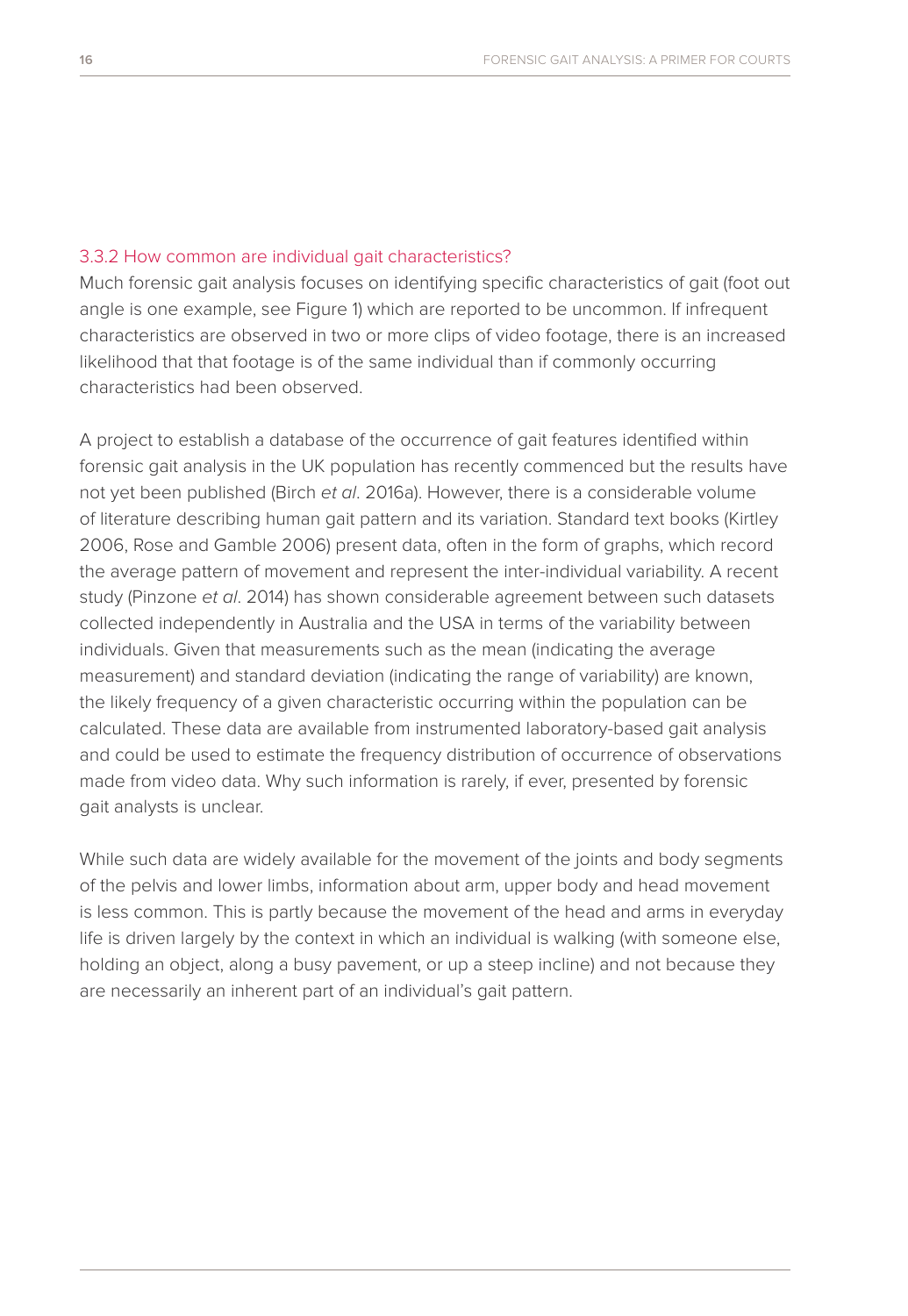#### 3.3.2 How common are individual gait characteristics?

Much forensic gait analysis focuses on identifying specific characteristics of gait (foot out angle is one example, see Figure 1) which are reported to be uncommon. If infrequent characteristics are observed in two or more clips of video footage, there is an increased likelihood that that footage is of the same individual than if commonly occurring characteristics had been observed.

A project to establish a database of the occurrence of gait features identified within forensic gait analysis in the UK population has recently commenced but the results have not yet been published (Birch *et al*. 2016a). However, there is a considerable volume of literature describing human gait pattern and its variation. Standard text books (Kirtley 2006, Rose and Gamble 2006) present data, often in the form of graphs, which record the average pattern of movement and represent the inter-individual variability. A recent study (Pinzone *et al*. 2014) has shown considerable agreement between such datasets collected independently in Australia and the USA in terms of the variability between individuals. Given that measurements such as the mean (indicating the average measurement) and standard deviation (indicating the range of variability) are known, the likely frequency of a given characteristic occurring within the population can be calculated. These data are available from instrumented laboratory-based gait analysis and could be used to estimate the frequency distribution of occurrence of observations made from video data. Why such information is rarely, if ever, presented by forensic gait analysts is unclear.

While such data are widely available for the movement of the joints and body segments of the pelvis and lower limbs, information about arm, upper body and head movement is less common. This is partly because the movement of the head and arms in everyday life is driven largely by the context in which an individual is walking (with someone else, holding an object, along a busy pavement, or up a steep incline) and not because they are necessarily an inherent part of an individual's gait pattern.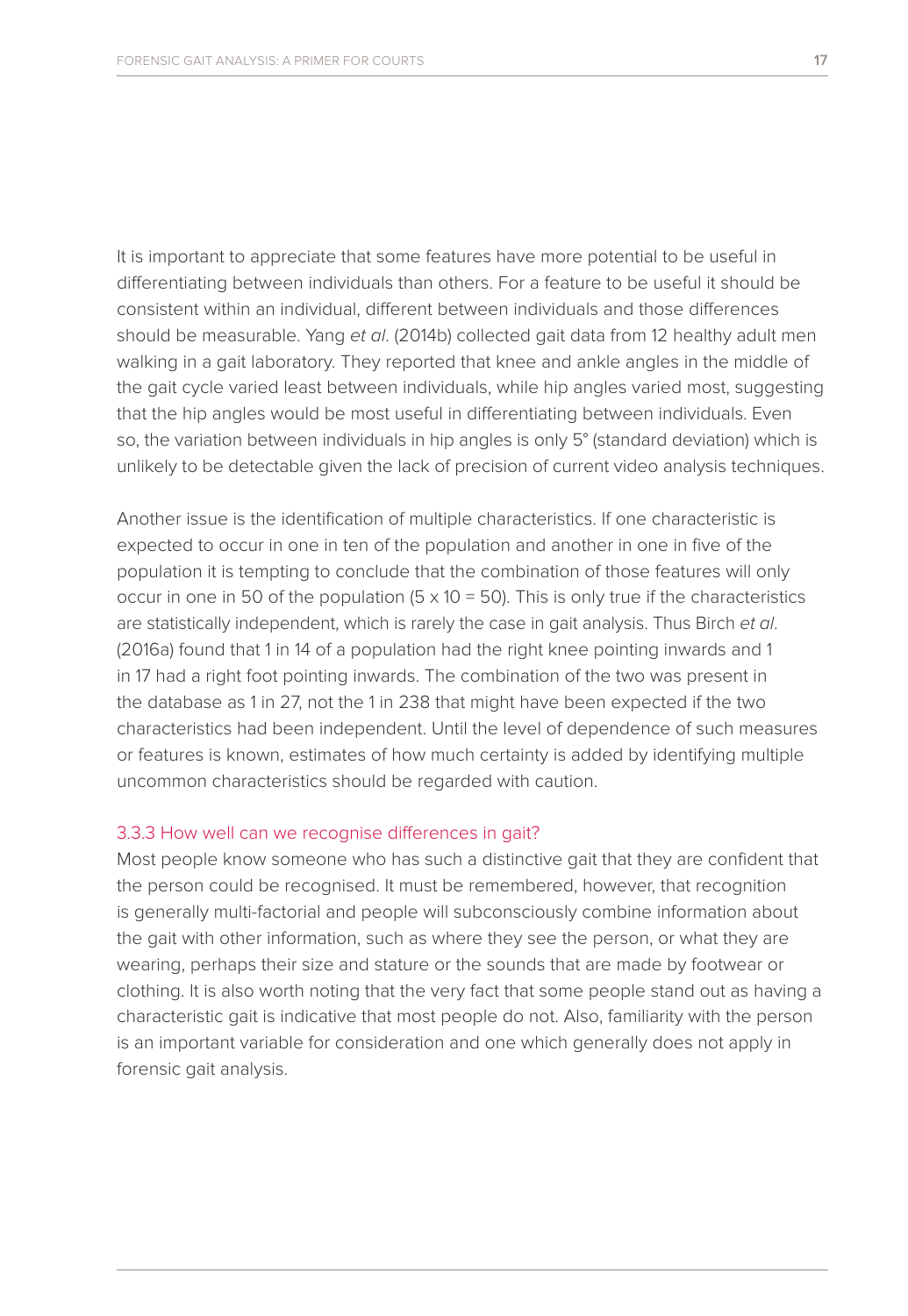It is important to appreciate that some features have more potential to be useful in differentiating between individuals than others. For a feature to be useful it should be consistent within an individual, different between individuals and those differences should be measurable. Yang *et al*. (2014b) collected gait data from 12 healthy adult men walking in a gait laboratory. They reported that knee and ankle angles in the middle of the gait cycle varied least between individuals, while hip angles varied most, suggesting that the hip angles would be most useful in differentiating between individuals. Even so, the variation between individuals in hip angles is only 5° (standard deviation) which is unlikely to be detectable given the lack of precision of current video analysis techniques.

Another issue is the identification of multiple characteristics. If one characteristic is expected to occur in one in ten of the population and another in one in five of the population it is tempting to conclude that the combination of those features will only occur in one in 50 of the population  $(5 \times 10 = 50)$ . This is only true if the characteristics are statistically independent, which is rarely the case in gait analysis. Thus Birch *et al*. (2016a) found that 1 in 14 of a population had the right knee pointing inwards and 1 in 17 had a right foot pointing inwards. The combination of the two was present in the database as 1 in 27, not the 1 in 238 that might have been expected if the two characteristics had been independent. Until the level of dependence of such measures or features is known, estimates of how much certainty is added by identifying multiple uncommon characteristics should be regarded with caution.

#### 3.3.3 How well can we recognise differences in gait?

Most people know someone who has such a distinctive gait that they are confident that the person could be recognised. It must be remembered, however, that recognition is generally multi-factorial and people will subconsciously combine information about the gait with other information, such as where they see the person, or what they are wearing, perhaps their size and stature or the sounds that are made by footwear or clothing. It is also worth noting that the very fact that some people stand out as having a characteristic gait is indicative that most people do not. Also, familiarity with the person is an important variable for consideration and one which generally does not apply in forensic gait analysis.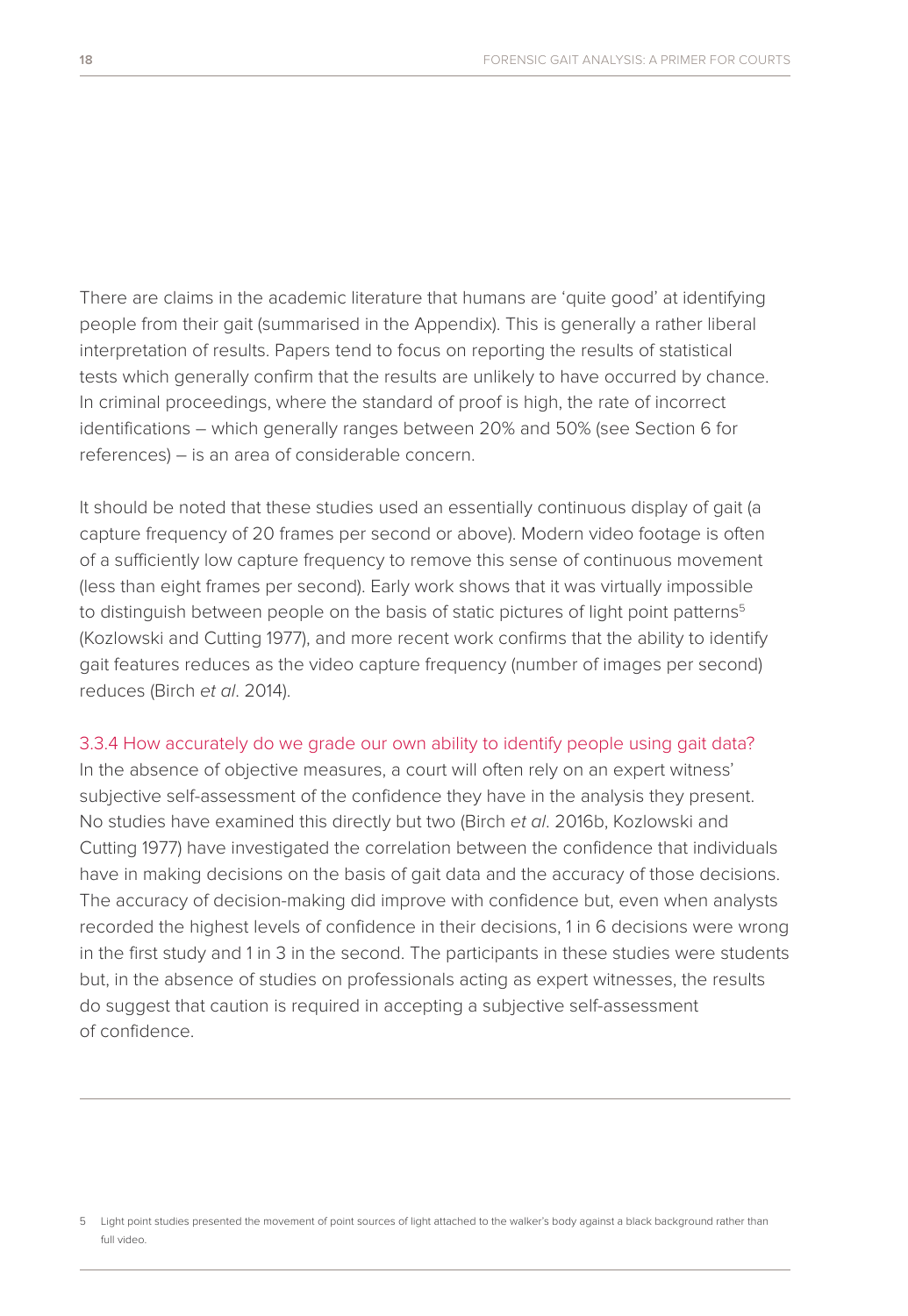There are claims in the academic literature that humans are 'quite good' at identifying people from their gait (summarised in the Appendix). This is generally a rather liberal interpretation of results. Papers tend to focus on reporting the results of statistical tests which generally confirm that the results are unlikely to have occurred by chance. In criminal proceedings, where the standard of proof is high, the rate of incorrect identifications – which generally ranges between 20% and 50% (see Section 6 for references) – is an area of considerable concern.

It should be noted that these studies used an essentially continuous display of gait (a capture frequency of 20 frames per second or above). Modern video footage is often of a sufficiently low capture frequency to remove this sense of continuous movement (less than eight frames per second). Early work shows that it was virtually impossible to distinguish between people on the basis of static pictures of light point patterns<sup>5</sup> (Kozlowski and Cutting 1977), and more recent work confirms that the ability to identify gait features reduces as the video capture frequency (number of images per second) reduces (Birch *et al*. 2014).

### 3.3.4 How accurately do we grade our own ability to identify people using gait data?

In the absence of objective measures, a court will often rely on an expert witness' subjective self-assessment of the confidence they have in the analysis they present. No studies have examined this directly but two (Birch *et al*. 2016b, Kozlowski and Cutting 1977) have investigated the correlation between the confidence that individuals have in making decisions on the basis of gait data and the accuracy of those decisions. The accuracy of decision-making did improve with confidence but, even when analysts recorded the highest levels of confidence in their decisions, 1 in 6 decisions were wrong in the first study and 1 in 3 in the second. The participants in these studies were students but, in the absence of studies on professionals acting as expert witnesses, the results do suggest that caution is required in accepting a subjective self-assessment of confidence.

<sup>5</sup> Light point studies presented the movement of point sources of light attached to the walker's body against a black background rather than full video.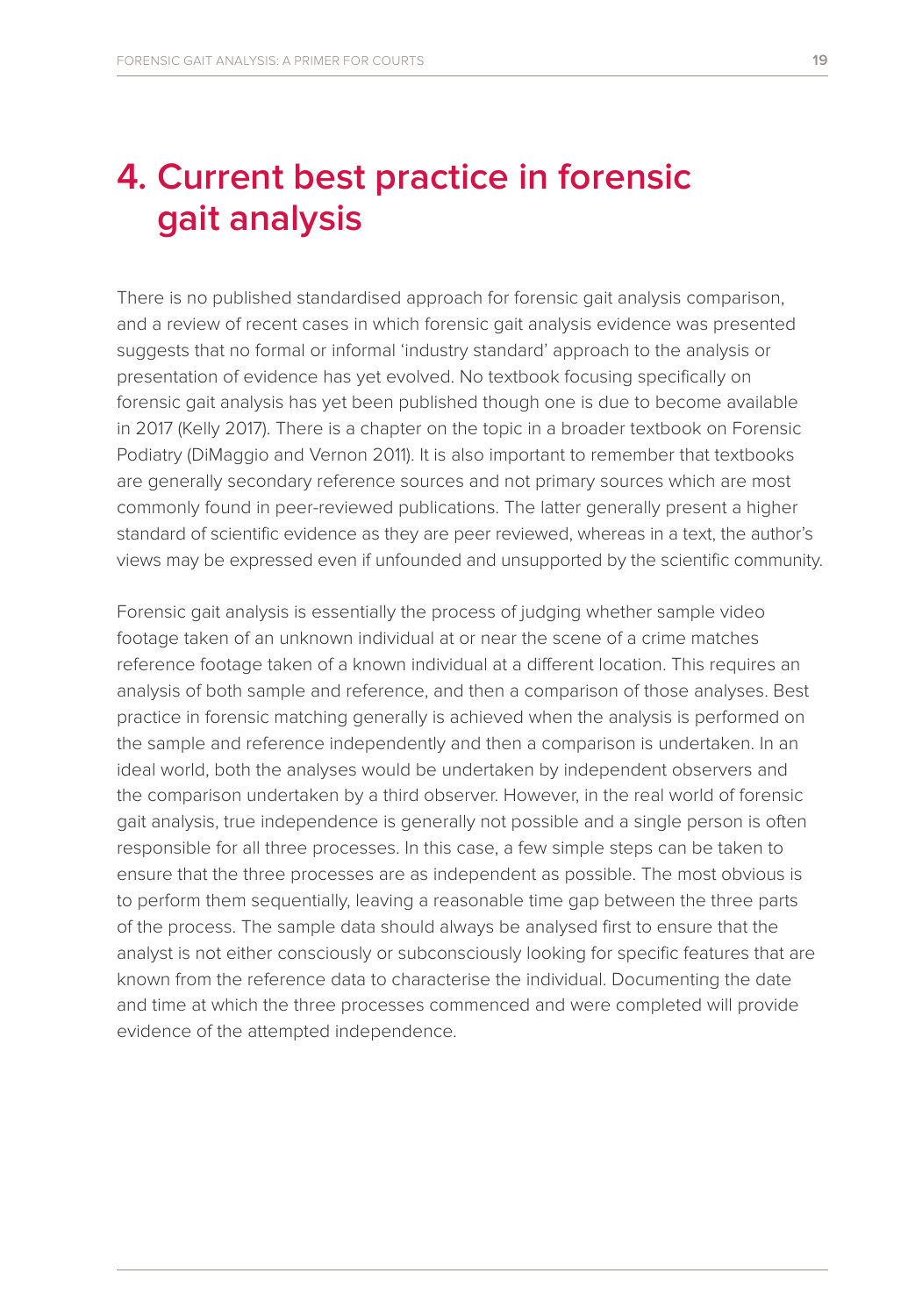### **4. Current best practice in forensic gait analysis**

There is no published standardised approach for forensic gait analysis comparison, and a review of recent cases in which forensic gait analysis evidence was presented suggests that no formal or informal 'industry standard' approach to the analysis or presentation of evidence has yet evolved. No textbook focusing specifically on forensic gait analysis has yet been published though one is due to become available in 2017 (Kelly 2017). There is a chapter on the topic in a broader textbook on Forensic Podiatry (DiMaggio and Vernon 2011). It is also important to remember that textbooks are generally secondary reference sources and not primary sources which are most commonly found in peer-reviewed publications. The latter generally present a higher standard of scientific evidence as they are peer reviewed, whereas in a text, the author's views may be expressed even if unfounded and unsupported by the scientific community.

Forensic gait analysis is essentially the process of judging whether sample video footage taken of an unknown individual at or near the scene of a crime matches reference footage taken of a known individual at a different location. This requires an analysis of both sample and reference, and then a comparison of those analyses. Best practice in forensic matching generally is achieved when the analysis is performed on the sample and reference independently and then a comparison is undertaken. In an ideal world, both the analyses would be undertaken by independent observers and the comparison undertaken by a third observer. However, in the real world of forensic gait analysis, true independence is generally not possible and a single person is often responsible for all three processes. In this case, a few simple steps can be taken to ensure that the three processes are as independent as possible. The most obvious is to perform them sequentially, leaving a reasonable time gap between the three parts of the process. The sample data should always be analysed first to ensure that the analyst is not either consciously or subconsciously looking for specific features that are known from the reference data to characterise the individual. Documenting the date and time at which the three processes commenced and were completed will provide evidence of the attempted independence.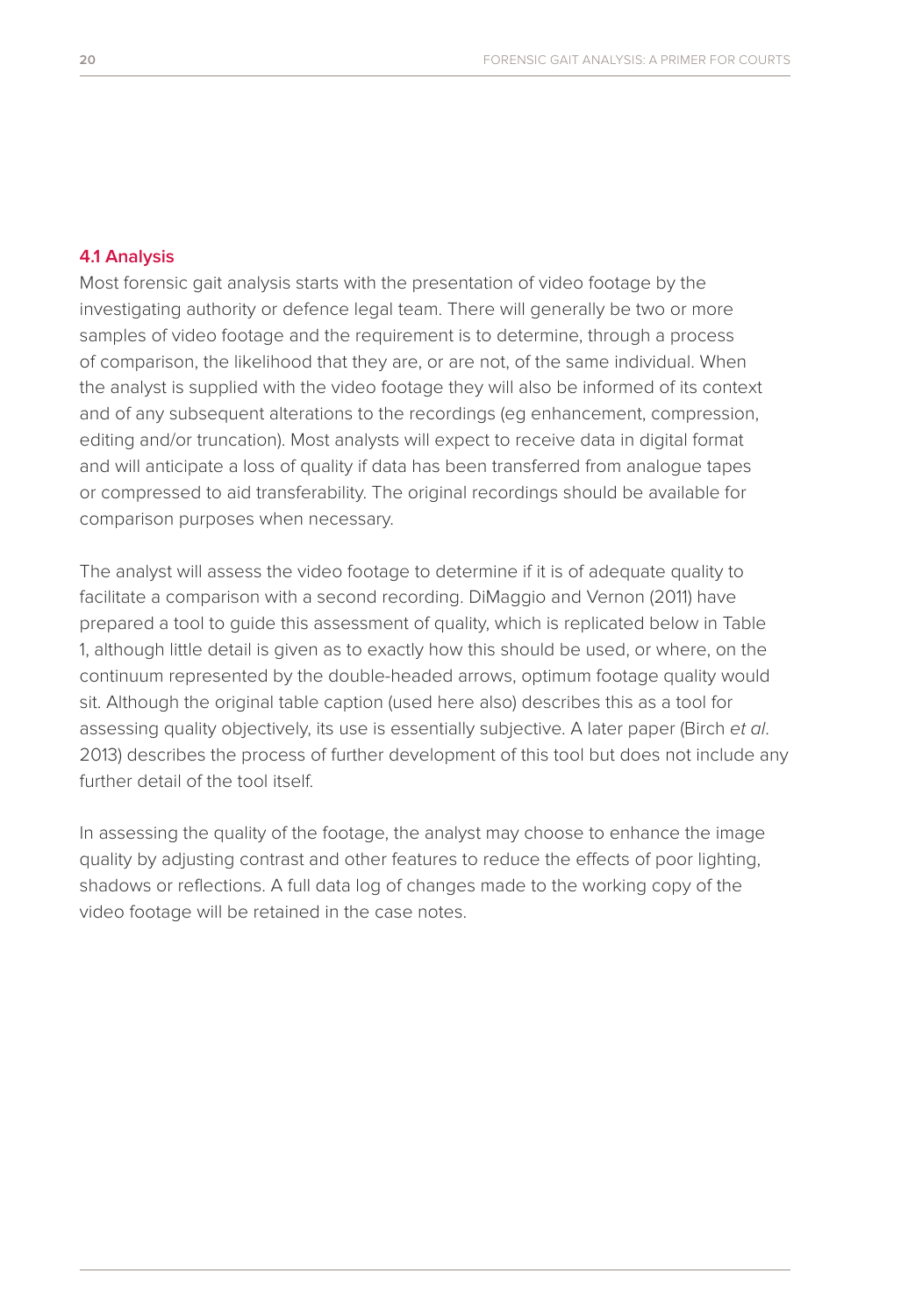### **4.1 Analysis**

Most forensic gait analysis starts with the presentation of video footage by the investigating authority or defence legal team. There will generally be two or more samples of video footage and the requirement is to determine, through a process of comparison, the likelihood that they are, or are not, of the same individual. When the analyst is supplied with the video footage they will also be informed of its context and of any subsequent alterations to the recordings (eg enhancement, compression, editing and/or truncation). Most analysts will expect to receive data in digital format and will anticipate a loss of quality if data has been transferred from analogue tapes or compressed to aid transferability. The original recordings should be available for comparison purposes when necessary.

The analyst will assess the video footage to determine if it is of adequate quality to facilitate a comparison with a second recording. DiMaggio and Vernon (2011) have prepared a tool to guide this assessment of quality, which is replicated below in Table 1, although little detail is given as to exactly how this should be used, or where, on the continuum represented by the double-headed arrows, optimum footage quality would sit. Although the original table caption (used here also) describes this as a tool for assessing quality objectively, its use is essentially subjective. A later paper (Birch *et al*. 2013) describes the process of further development of this tool but does not include any further detail of the tool itself.

In assessing the quality of the footage, the analyst may choose to enhance the image quality by adjusting contrast and other features to reduce the effects of poor lighting, shadows or reflections. A full data log of changes made to the working copy of the video footage will be retained in the case notes.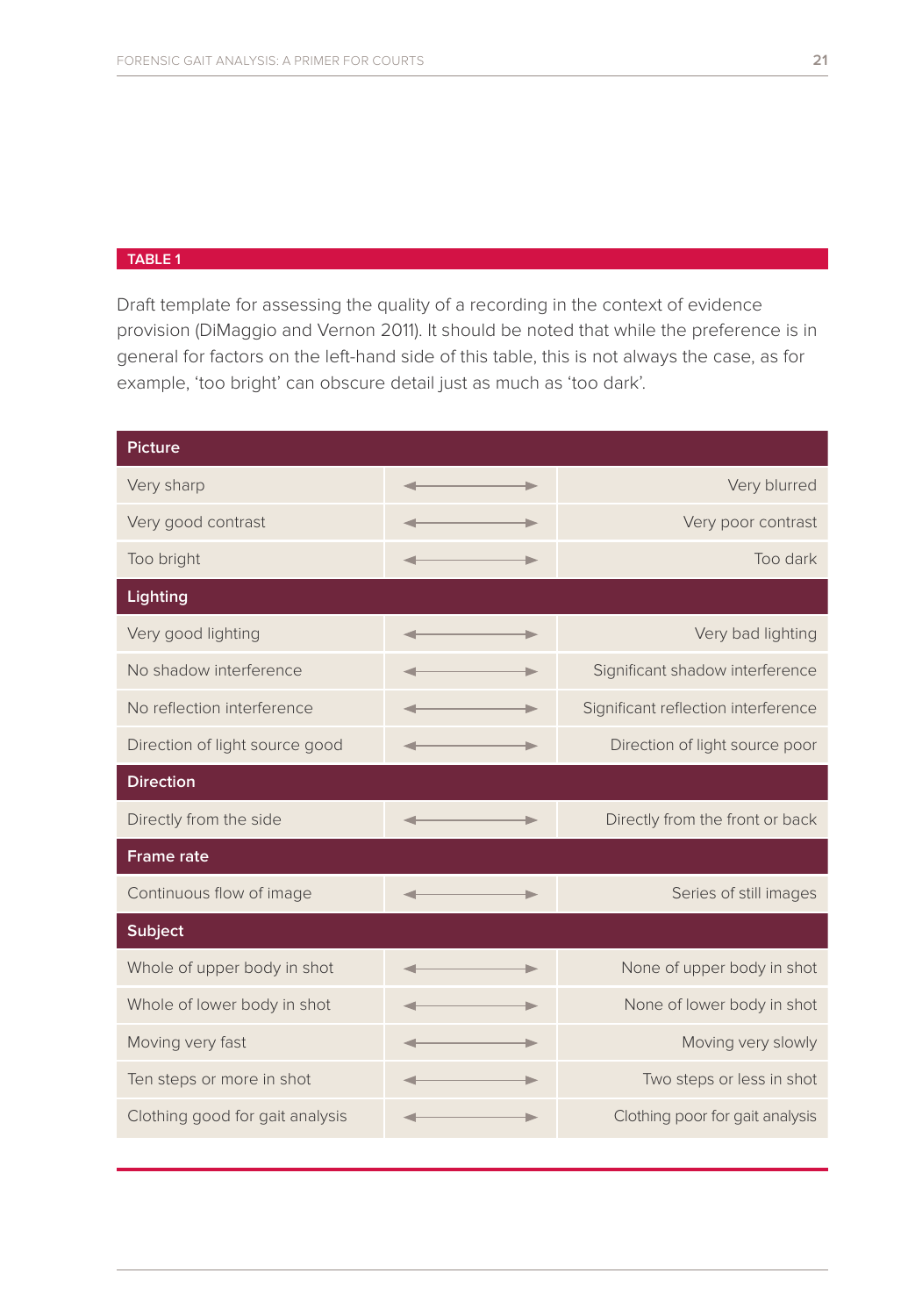#### **TABLE 1**

Draft template for assessing the quality of a recording in the context of evidence provision (DiMaggio and Vernon 2011). It should be noted that while the preference is in general for factors on the left-hand side of this table, this is not always the case, as for example, 'too bright' can obscure detail just as much as 'too dark'.

| <b>Picture</b>                  |  |                                     |  |  |  |  |
|---------------------------------|--|-------------------------------------|--|--|--|--|
| Very sharp                      |  | Very blurred                        |  |  |  |  |
| Very good contrast              |  | Very poor contrast                  |  |  |  |  |
| Too bright                      |  | Too dark                            |  |  |  |  |
| Lighting                        |  |                                     |  |  |  |  |
| Very good lighting              |  | Very bad lighting                   |  |  |  |  |
| No shadow interference          |  | Significant shadow interference     |  |  |  |  |
| No reflection interference      |  | Significant reflection interference |  |  |  |  |
| Direction of light source good  |  | Direction of light source poor      |  |  |  |  |
| <b>Direction</b>                |  |                                     |  |  |  |  |
| Directly from the side          |  | Directly from the front or back     |  |  |  |  |
| <b>Frame rate</b>               |  |                                     |  |  |  |  |
| Continuous flow of image        |  | Series of still images              |  |  |  |  |
| <b>Subject</b>                  |  |                                     |  |  |  |  |
| Whole of upper body in shot     |  | None of upper body in shot          |  |  |  |  |
| Whole of lower body in shot     |  | None of lower body in shot          |  |  |  |  |
| Moving very fast                |  | Moving very slowly                  |  |  |  |  |
| Ten steps or more in shot       |  | Two steps or less in shot           |  |  |  |  |
| Clothing good for gait analysis |  | Clothing poor for gait analysis     |  |  |  |  |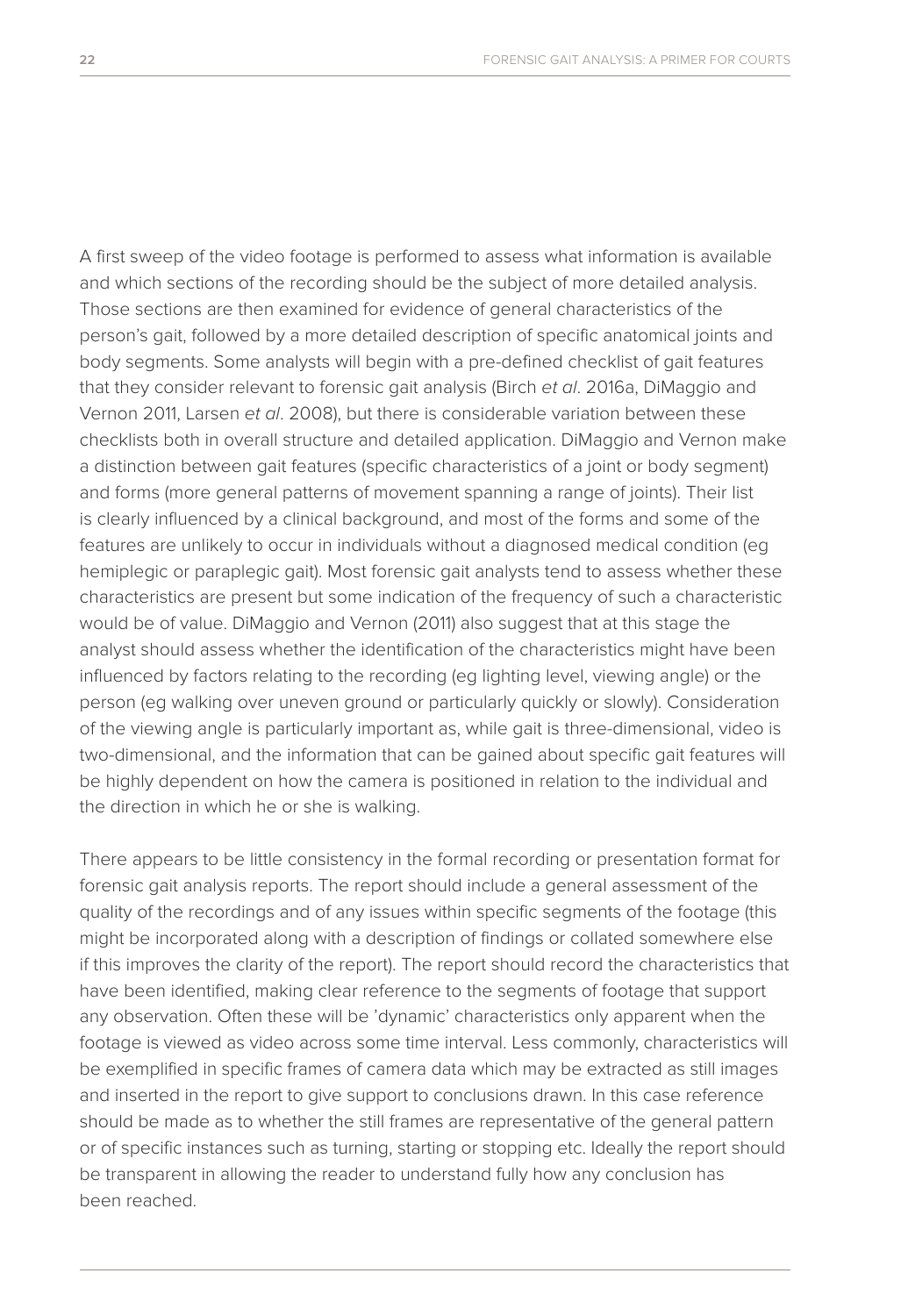A first sweep of the video footage is performed to assess what information is available and which sections of the recording should be the subject of more detailed analysis. Those sections are then examined for evidence of general characteristics of the person's gait, followed by a more detailed description of specific anatomical joints and body segments. Some analysts will begin with a pre-defined checklist of gait features that they consider relevant to forensic gait analysis (Birch *et al*. 2016a, DiMaggio and Vernon 2011, Larsen *et al*. 2008), but there is considerable variation between these checklists both in overall structure and detailed application. DiMaggio and Vernon make a distinction between gait features (specific characteristics of a joint or body segment) and forms (more general patterns of movement spanning a range of joints). Their list is clearly influenced by a clinical background, and most of the forms and some of the features are unlikely to occur in individuals without a diagnosed medical condition (eg hemiplegic or paraplegic gait). Most forensic gait analysts tend to assess whether these characteristics are present but some indication of the frequency of such a characteristic would be of value. DiMaggio and Vernon (2011) also suggest that at this stage the analyst should assess whether the identification of the characteristics might have been influenced by factors relating to the recording (eg lighting level, viewing angle) or the person (eg walking over uneven ground or particularly quickly or slowly). Consideration of the viewing angle is particularly important as, while gait is three-dimensional, video is two-dimensional, and the information that can be gained about specific gait features will be highly dependent on how the camera is positioned in relation to the individual and the direction in which he or she is walking.

There appears to be little consistency in the formal recording or presentation format for forensic gait analysis reports. The report should include a general assessment of the quality of the recordings and of any issues within specific segments of the footage (this might be incorporated along with a description of findings or collated somewhere else if this improves the clarity of the report). The report should record the characteristics that have been identified, making clear reference to the segments of footage that support any observation. Often these will be 'dynamic' characteristics only apparent when the footage is viewed as video across some time interval. Less commonly, characteristics will be exemplified in specific frames of camera data which may be extracted as still images and inserted in the report to give support to conclusions drawn. In this case reference should be made as to whether the still frames are representative of the general pattern or of specific instances such as turning, starting or stopping etc. Ideally the report should be transparent in allowing the reader to understand fully how any conclusion has been reached.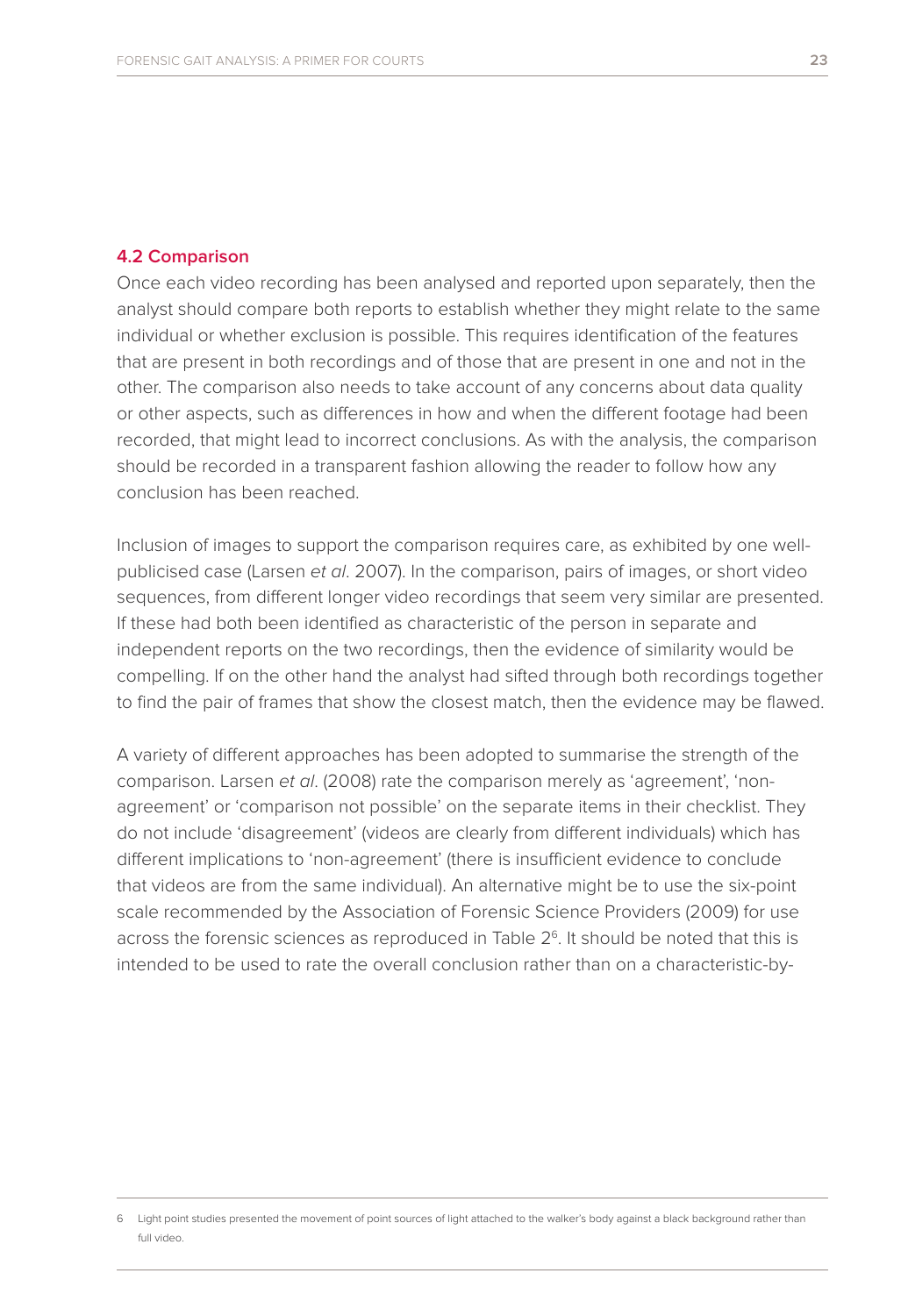### **4.2 Comparison**

Once each video recording has been analysed and reported upon separately, then the analyst should compare both reports to establish whether they might relate to the same individual or whether exclusion is possible. This requires identification of the features that are present in both recordings and of those that are present in one and not in the other. The comparison also needs to take account of any concerns about data quality or other aspects, such as differences in how and when the different footage had been recorded, that might lead to incorrect conclusions. As with the analysis, the comparison should be recorded in a transparent fashion allowing the reader to follow how any conclusion has been reached.

Inclusion of images to support the comparison requires care, as exhibited by one wellpublicised case (Larsen *et al*. 2007). In the comparison, pairs of images, or short video sequences, from different longer video recordings that seem very similar are presented. If these had both been identified as characteristic of the person in separate and independent reports on the two recordings, then the evidence of similarity would be compelling. If on the other hand the analyst had sifted through both recordings together to find the pair of frames that show the closest match, then the evidence may be flawed.

A variety of different approaches has been adopted to summarise the strength of the comparison. Larsen *et al*. (2008) rate the comparison merely as 'agreement', 'nonagreement' or 'comparison not possible' on the separate items in their checklist. They do not include 'disagreement' (videos are clearly from different individuals) which has different implications to 'non-agreement' (there is insufficient evidence to conclude that videos are from the same individual). An alternative might be to use the six-point scale recommended by the Association of Forensic Science Providers (2009) for use across the forensic sciences as reproduced in Table  $2<sup>6</sup>$ . It should be noted that this is intended to be used to rate the overall conclusion rather than on a characteristic-by-

<sup>6</sup> Light point studies presented the movement of point sources of light attached to the walker's body against a black background rather than full video.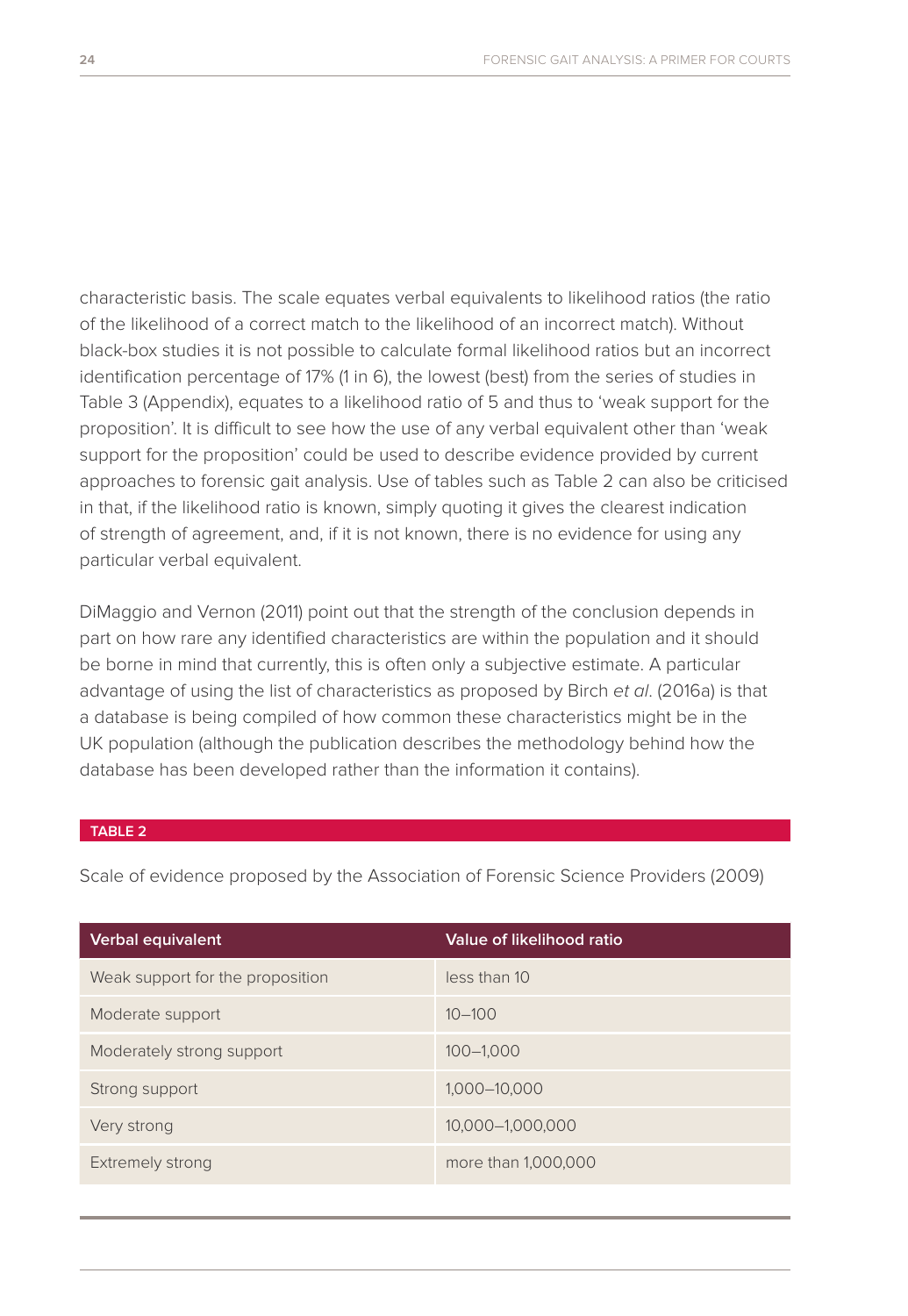characteristic basis. The scale equates verbal equivalents to likelihood ratios (the ratio of the likelihood of a correct match to the likelihood of an incorrect match). Without black-box studies it is not possible to calculate formal likelihood ratios but an incorrect identification percentage of 17% (1 in 6), the lowest (best) from the series of studies in Table 3 (Appendix), equates to a likelihood ratio of 5 and thus to 'weak support for the proposition'. It is difficult to see how the use of any verbal equivalent other than 'weak support for the proposition' could be used to describe evidence provided by current approaches to forensic gait analysis. Use of tables such as Table 2 can also be criticised in that, if the likelihood ratio is known, simply quoting it gives the clearest indication of strength of agreement, and, if it is not known, there is no evidence for using any particular verbal equivalent.

DiMaggio and Vernon (2011) point out that the strength of the conclusion depends in part on how rare any identified characteristics are within the population and it should be borne in mind that currently, this is often only a subjective estimate. A particular advantage of using the list of characteristics as proposed by Birch *et al*. (2016a) is that a database is being compiled of how common these characteristics might be in the UK population (although the publication describes the methodology behind how the database has been developed rather than the information it contains).

### **TABLE 2**

Scale of evidence proposed by the Association of Forensic Science Providers (2009)

| <b>Verbal equivalent</b>         | Value of likelihood ratio |  |  |
|----------------------------------|---------------------------|--|--|
| Weak support for the proposition | less than 10              |  |  |
| Moderate support                 | $10 - 100$                |  |  |
| Moderately strong support        | $100 - 1.000$             |  |  |
| Strong support                   | 1.000-10.000              |  |  |
| Very strong                      | 10,000-1,000,000          |  |  |
| <b>Extremely strong</b>          | more than 1,000,000       |  |  |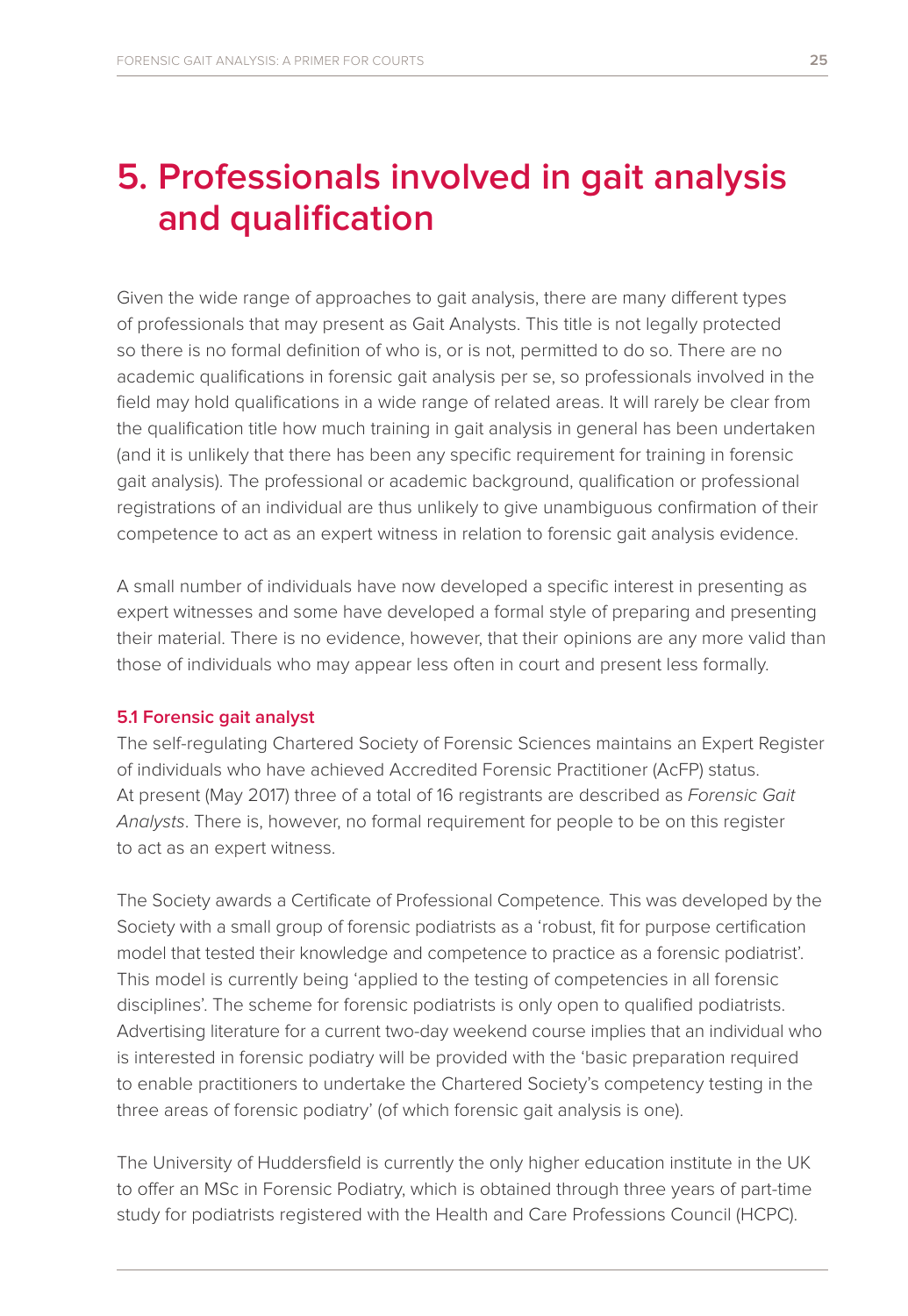### **5. Professionals involved in gait analysis and qualification**

Given the wide range of approaches to gait analysis, there are many different types of professionals that may present as Gait Analysts. This title is not legally protected so there is no formal definition of who is, or is not, permitted to do so. There are no academic qualifications in forensic gait analysis per se, so professionals involved in the field may hold qualifications in a wide range of related areas. It will rarely be clear from the qualification title how much training in gait analysis in general has been undertaken (and it is unlikely that there has been any specific requirement for training in forensic gait analysis). The professional or academic background, qualification or professional registrations of an individual are thus unlikely to give unambiguous confirmation of their competence to act as an expert witness in relation to forensic gait analysis evidence.

A small number of individuals have now developed a specific interest in presenting as expert witnesses and some have developed a formal style of preparing and presenting their material. There is no evidence, however, that their opinions are any more valid than those of individuals who may appear less often in court and present less formally.

### **5.1 Forensic gait analyst**

The self-regulating Chartered Society of Forensic Sciences maintains an Expert Register of individuals who have achieved Accredited Forensic Practitioner (AcFP) status. At present (May 2017) three of a total of 16 registrants are described as *Forensic Gait Analysts*. There is, however, no formal requirement for people to be on this register to act as an expert witness.

The Society awards a Certificate of Professional Competence. This was developed by the Society with a small group of forensic podiatrists as a 'robust, fit for purpose certification model that tested their knowledge and competence to practice as a forensic podiatrist'. This model is currently being 'applied to the testing of competencies in all forensic disciplines'. The scheme for forensic podiatrists is only open to qualified podiatrists. Advertising literature for a current two-day weekend course implies that an individual who is interested in forensic podiatry will be provided with the 'basic preparation required to enable practitioners to undertake the Chartered Society's competency testing in the three areas of forensic podiatry' (of which forensic gait analysis is one).

The University of Huddersfield is currently the only higher education institute in the UK to offer an MSc in Forensic Podiatry, which is obtained through three years of part-time study for podiatrists registered with the Health and Care Professions Council (HCPC).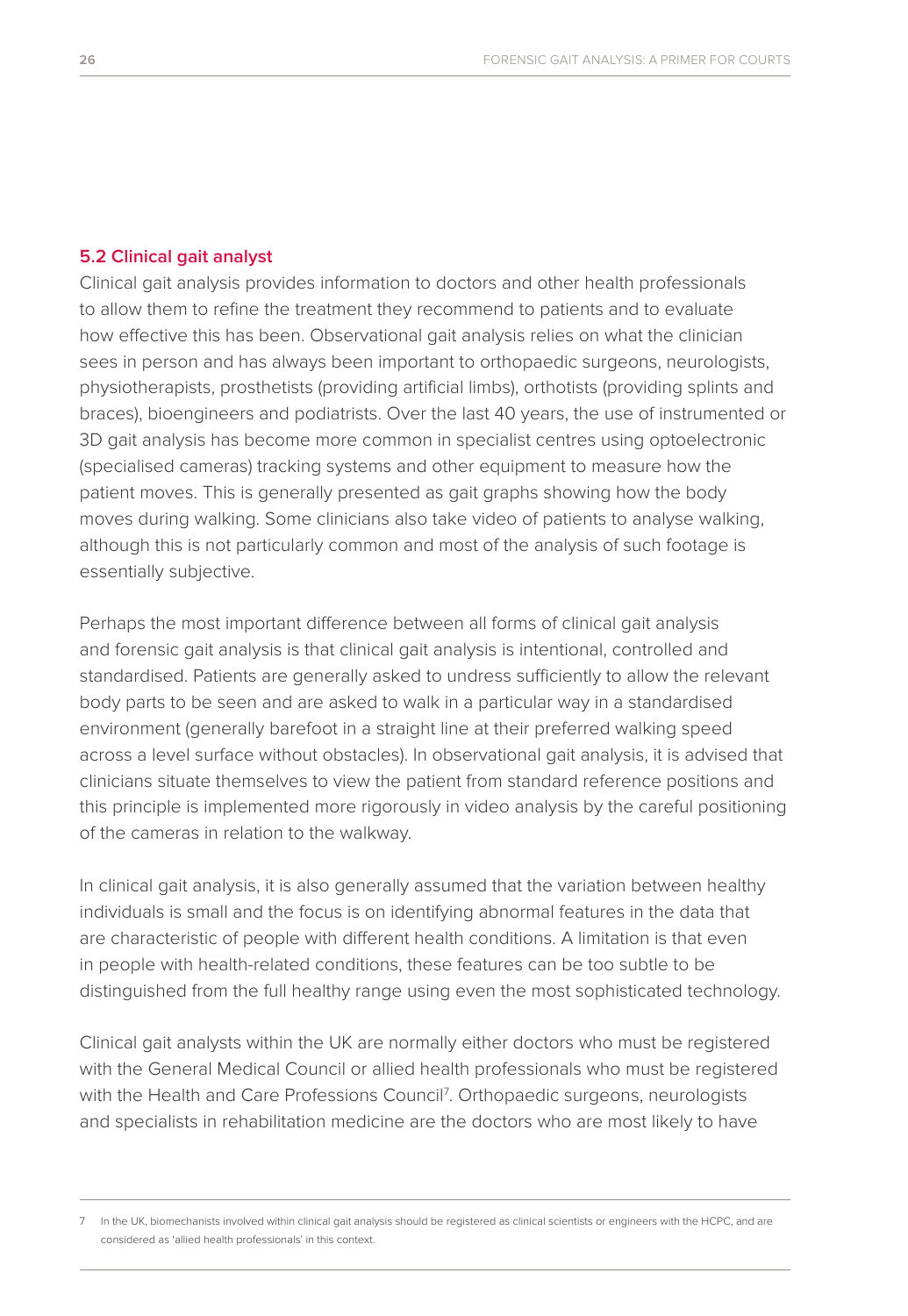### **5.2 Clinical gait analyst**

Clinical gait analysis provides information to doctors and other health professionals to allow them to refine the treatment they recommend to patients and to evaluate how effective this has been. Observational gait analysis relies on what the clinician sees in person and has always been important to orthopaedic surgeons, neurologists, physiotherapists, prosthetists (providing artificial limbs), orthotists (providing splints and braces), bioengineers and podiatrists. Over the last 40 years, the use of instrumented or 3D gait analysis has become more common in specialist centres using optoelectronic (specialised cameras) tracking systems and other equipment to measure how the patient moves. This is generally presented as gait graphs showing how the body moves during walking. Some clinicians also take video of patients to analyse walking, although this is not particularly common and most of the analysis of such footage is essentially subjective.

Perhaps the most important difference between all forms of clinical gait analysis and forensic gait analysis is that clinical gait analysis is intentional, controlled and standardised. Patients are generally asked to undress sufficiently to allow the relevant body parts to be seen and are asked to walk in a particular way in a standardised environment (generally barefoot in a straight line at their preferred walking speed across a level surface without obstacles). In observational gait analysis, it is advised that clinicians situate themselves to view the patient from standard reference positions and this principle is implemented more rigorously in video analysis by the careful positioning of the cameras in relation to the walkway.

In clinical gait analysis, it is also generally assumed that the variation between healthy individuals is small and the focus is on identifying abnormal features in the data that are characteristic of people with different health conditions. A limitation is that even in people with health-related conditions, these features can be too subtle to be distinguished from the full healthy range using even the most sophisticated technology.

Clinical gait analysts within the UK are normally either doctors who must be registered with the General Medical Council or allied health professionals who must be registered with the Health and Care Professions Council7 . Orthopaedic surgeons, neurologists and specialists in rehabilitation medicine are the doctors who are most likely to have

<sup>7</sup> In the UK, biomechanists involved within clinical gait analysis should be registered as clinical scientists or engineers with the HCPC, and are considered as 'allied health professionals' in this context.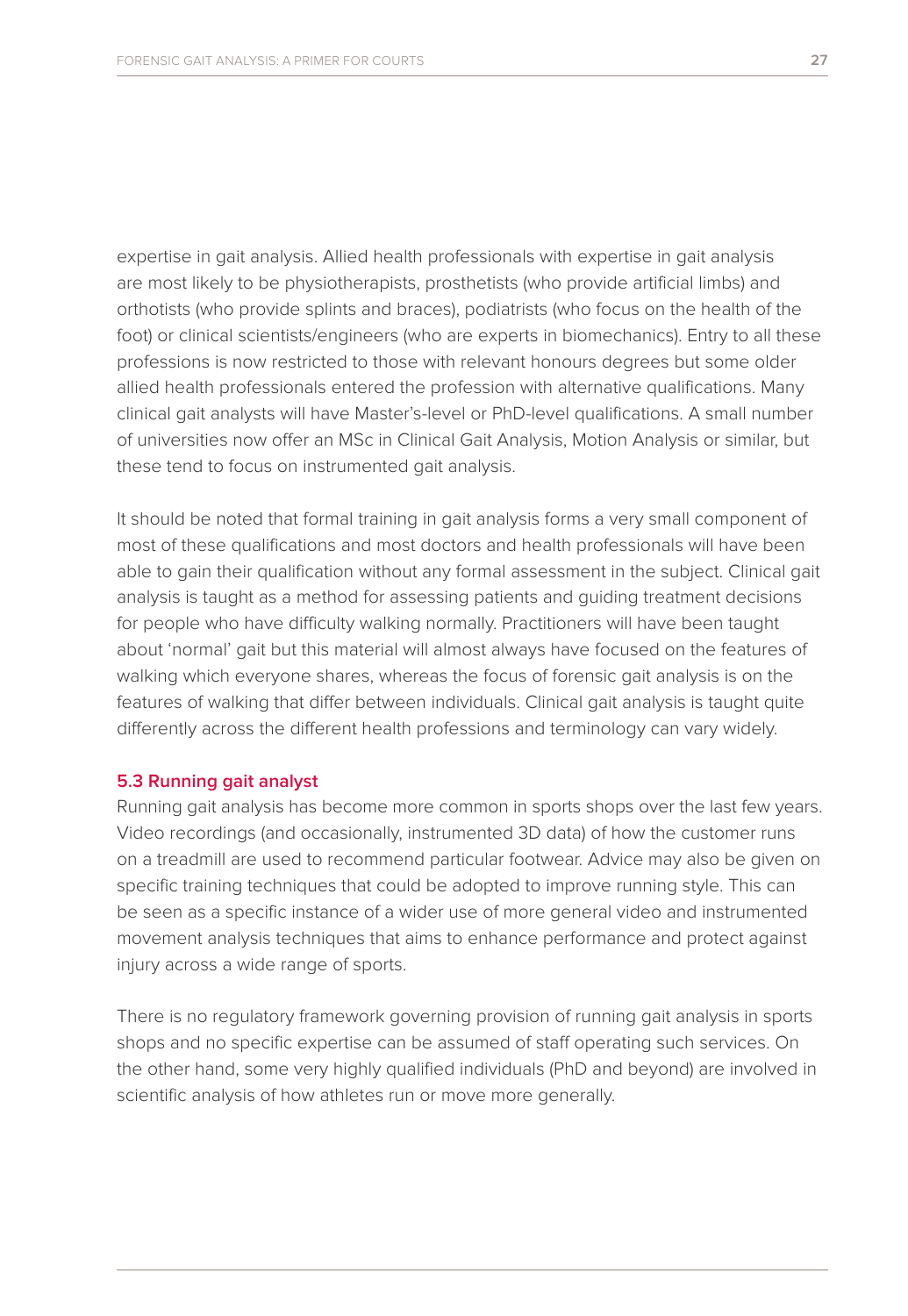expertise in gait analysis. Allied health professionals with expertise in gait analysis are most likely to be physiotherapists, prosthetists (who provide artificial limbs) and orthotists (who provide splints and braces), podiatrists (who focus on the health of the foot) or clinical scientists/engineers (who are experts in biomechanics). Entry to all these professions is now restricted to those with relevant honours degrees but some older allied health professionals entered the profession with alternative qualifications. Many clinical gait analysts will have Master's-level or PhD-level qualifications. A small number of universities now offer an MSc in Clinical Gait Analysis, Motion Analysis or similar, but these tend to focus on instrumented gait analysis.

It should be noted that formal training in gait analysis forms a very small component of most of these qualifications and most doctors and health professionals will have been able to gain their qualification without any formal assessment in the subject. Clinical gait analysis is taught as a method for assessing patients and guiding treatment decisions for people who have difficulty walking normally. Practitioners will have been taught about 'normal' gait but this material will almost always have focused on the features of walking which everyone shares, whereas the focus of forensic gait analysis is on the features of walking that differ between individuals. Clinical gait analysis is taught quite differently across the different health professions and terminology can vary widely.

### **5.3 Running gait analyst**

Running gait analysis has become more common in sports shops over the last few years. Video recordings (and occasionally, instrumented 3D data) of how the customer runs on a treadmill are used to recommend particular footwear. Advice may also be given on specific training techniques that could be adopted to improve running style. This can be seen as a specific instance of a wider use of more general video and instrumented movement analysis techniques that aims to enhance performance and protect against injury across a wide range of sports.

There is no regulatory framework governing provision of running gait analysis in sports shops and no specific expertise can be assumed of staff operating such services. On the other hand, some very highly qualified individuals (PhD and beyond) are involved in scientific analysis of how athletes run or move more generally.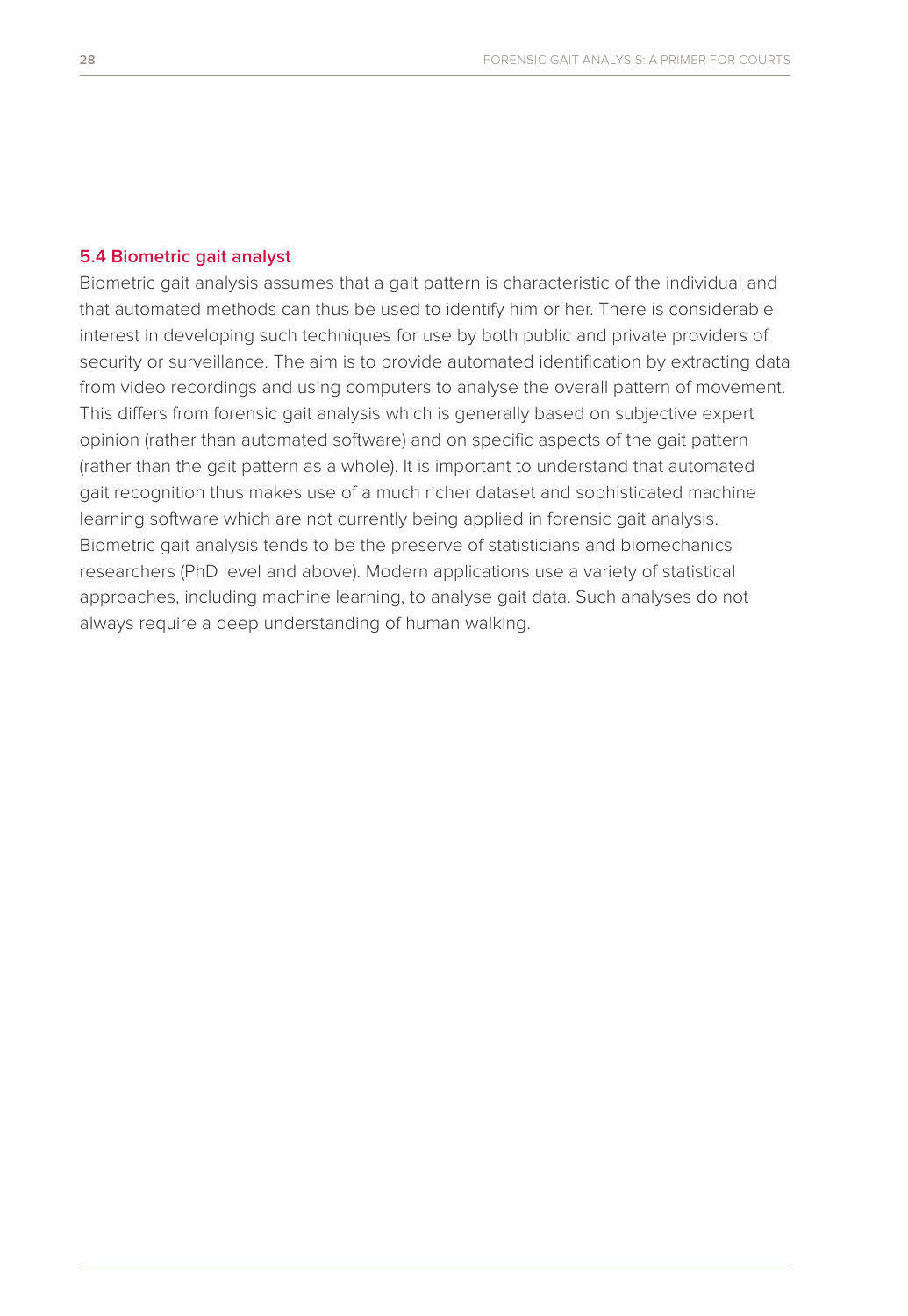#### **5.4 Biometric gait analyst**

Biometric gait analysis assumes that a gait pattern is characteristic of the individual and that automated methods can thus be used to identify him or her. There is considerable interest in developing such techniques for use by both public and private providers of security or surveillance. The aim is to provide automated identification by extracting data from video recordings and using computers to analyse the overall pattern of movement. This differs from forensic gait analysis which is generally based on subjective expert opinion (rather than automated software) and on specific aspects of the gait pattern (rather than the gait pattern as a whole). It is important to understand that automated gait recognition thus makes use of a much richer dataset and sophisticated machine learning software which are not currently being applied in forensic gait analysis. Biometric gait analysis tends to be the preserve of statisticians and biomechanics researchers (PhD level and above). Modern applications use a variety of statistical approaches, including machine learning, to analyse gait data. Such analyses do not always require a deep understanding of human walking.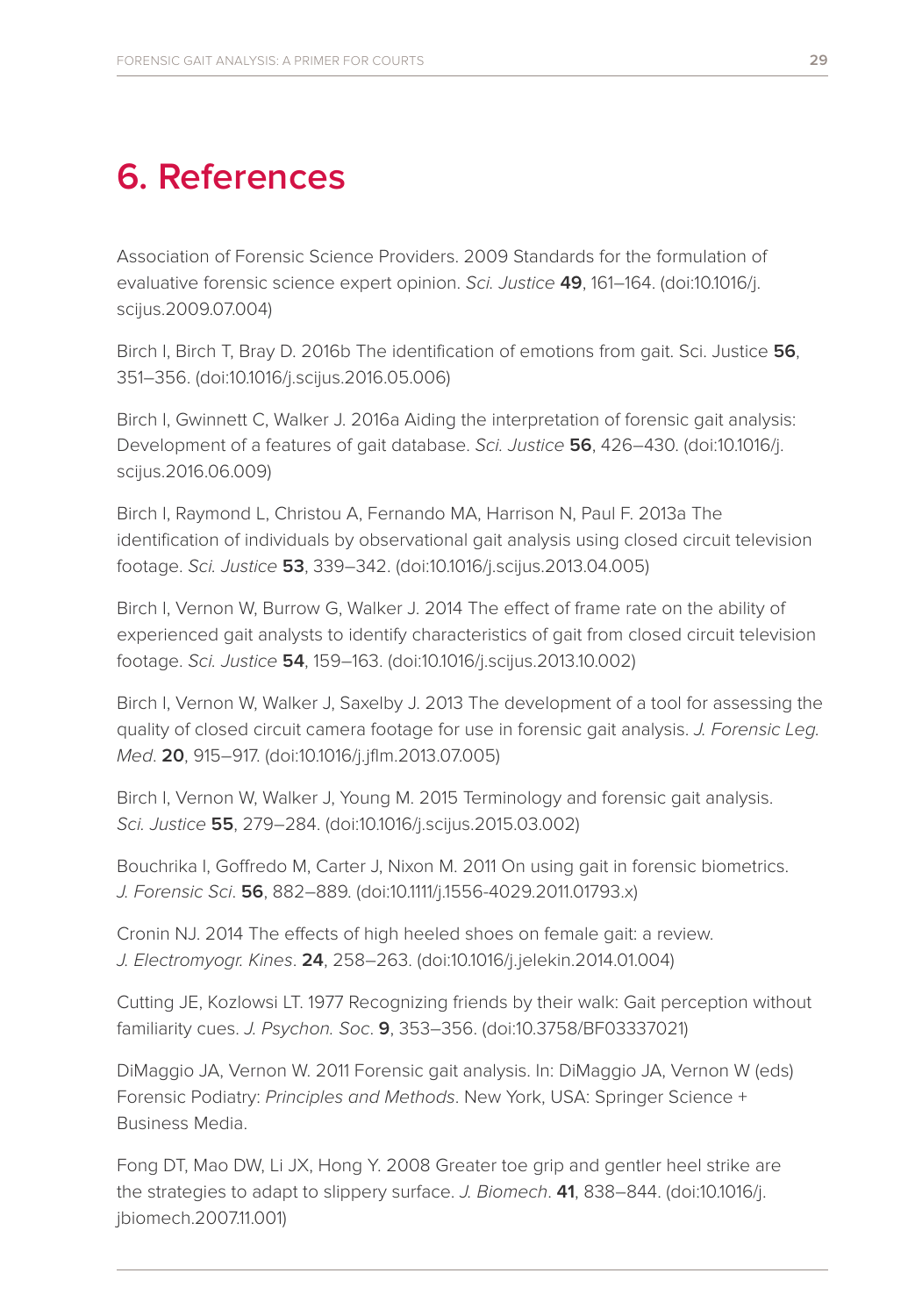## **6. References**

Association of Forensic Science Providers. 2009 Standards for the formulation of evaluative forensic science expert opinion. *Sci. Justice* **49**, 161–164. (doi:10.1016/j. scijus.2009.07.004)

Birch I, Birch T, Bray D. 2016b The identification of emotions from gait. Sci. Justice **56**, 351–356. (doi:10.1016/j.scijus.2016.05.006)

Birch I, Gwinnett C, Walker J. 2016a Aiding the interpretation of forensic gait analysis: Development of a features of gait database. *Sci. Justice* **56**, 426–430. (doi:10.1016/j. scijus.2016.06.009)

Birch I, Raymond L, Christou A, Fernando MA, Harrison N, Paul F. 2013a The identification of individuals by observational gait analysis using closed circuit television footage. *Sci. Justice* **53**, 339–342. (doi:10.1016/j.scijus.2013.04.005)

Birch I, Vernon W, Burrow G, Walker J. 2014 The effect of frame rate on the ability of experienced gait analysts to identify characteristics of gait from closed circuit television footage. *Sci. Justice* **54**, 159–163. (doi:10.1016/j.scijus.2013.10.002)

Birch I, Vernon W, Walker J, Saxelby J. 2013 The development of a tool for assessing the quality of closed circuit camera footage for use in forensic gait analysis. *J. Forensic Leg. Med*. **20**, 915–917. (doi:10.1016/j.jflm.2013.07.005)

Birch I, Vernon W, Walker J, Young M. 2015 Terminology and forensic gait analysis. *Sci. Justice* **55**, 279–284. (doi:10.1016/j.scijus.2015.03.002)

Bouchrika I, Goffredo M, Carter J, Nixon M. 2011 On using gait in forensic biometrics. *J. Forensic Sci*. **56**, 882–889. (doi:10.1111/j.1556-4029.2011.01793.x)

Cronin NJ. 2014 The effects of high heeled shoes on female gait: a review. *J. Electromyogr. Kines*. **24**, 258–263. (doi:10.1016/j.jelekin.2014.01.004)

Cutting JE, Kozlowsi LT. 1977 Recognizing friends by their walk: Gait perception without familiarity cues. *J. Psychon. Soc*. **9**, 353–356. (doi:10.3758/BF03337021)

DiMaggio JA, Vernon W. 2011 Forensic gait analysis. In: DiMaggio JA, Vernon W (eds) Forensic Podiatry: *Principles and Methods*. New York, USA: Springer Science + Business Media.

Fong DT, Mao DW, Li JX, Hong Y. 2008 Greater toe grip and gentler heel strike are the strategies to adapt to slippery surface. *J. Biomech*. **41**, 838–844. (doi:10.1016/j. jbiomech.2007.11.001)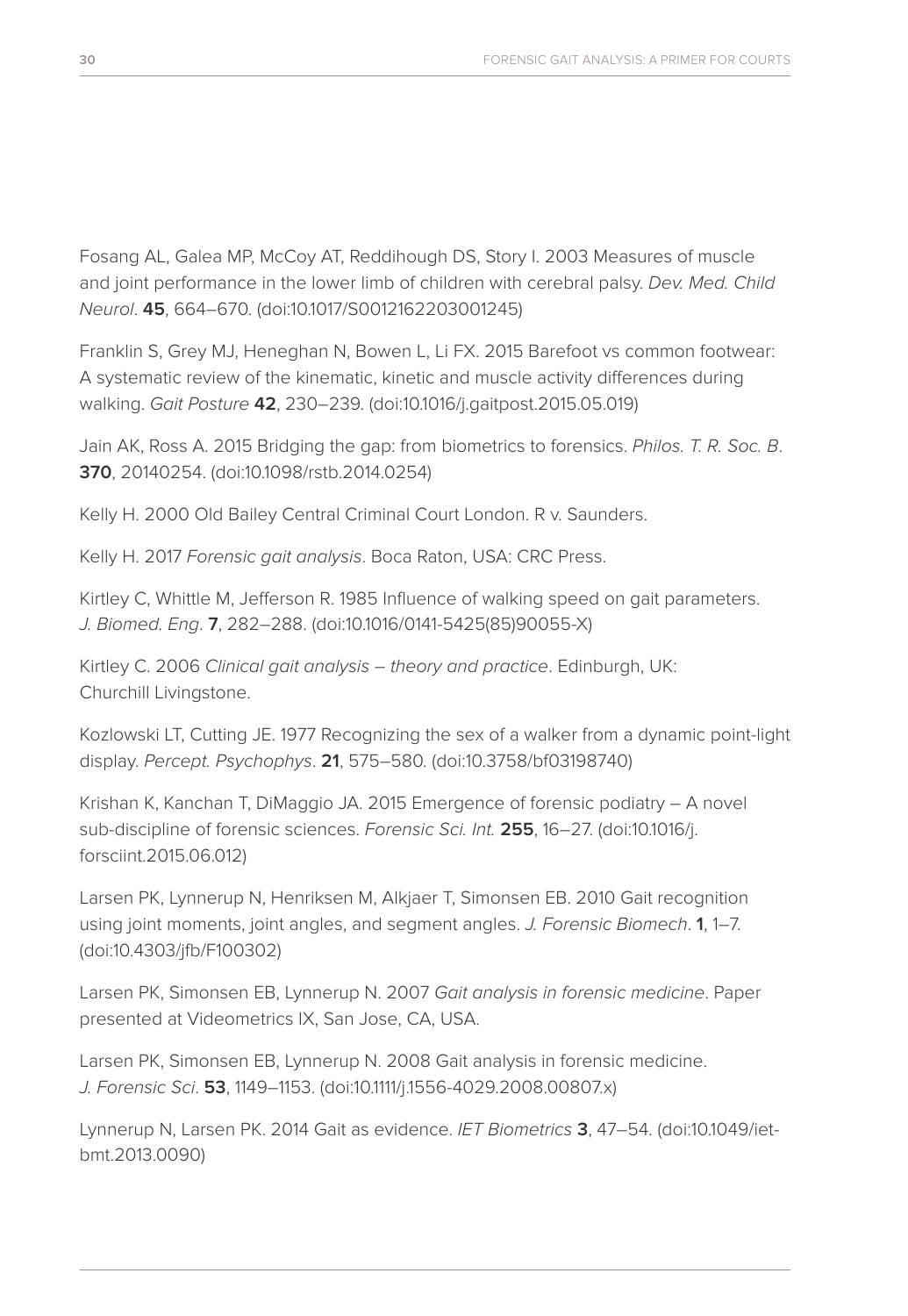Fosang AL, Galea MP, McCoy AT, Reddihough DS, Story I. 2003 Measures of muscle and joint performance in the lower limb of children with cerebral palsy. *Dev. Med. Child Neurol*. **45**, 664–670. (doi:10.1017/S0012162203001245)

Franklin S, Grey MJ, Heneghan N, Bowen L, Li FX. 2015 Barefoot vs common footwear: A systematic review of the kinematic, kinetic and muscle activity differences during walking. *Gait Posture* **42**, 230–239. (doi:10.1016/j.gaitpost.2015.05.019)

Jain AK, Ross A. 2015 Bridging the gap: from biometrics to forensics. *Philos. T. R. Soc. B*. **370**, 20140254. (doi:10.1098/rstb.2014.0254)

Kelly H. 2000 Old Bailey Central Criminal Court London. R v. Saunders.

Kelly H. 2017 *Forensic gait analysis*. Boca Raton, USA: CRC Press.

Kirtley C, Whittle M, Jefferson R. 1985 Influence of walking speed on gait parameters. *J. Biomed. Eng*. **7**, 282–288. (doi:10.1016/0141-5425(85)90055-X)

Kirtley C. 2006 *Clinical gait analysis – theory and practice*. Edinburgh, UK: Churchill Livingstone.

Kozlowski LT, Cutting JE. 1977 Recognizing the sex of a walker from a dynamic point-light display. *Percept. Psychophys*. **21**, 575–580. (doi:10.3758/bf03198740)

Krishan K, Kanchan T, DiMaggio JA. 2015 Emergence of forensic podiatry – A novel sub-discipline of forensic sciences. *Forensic Sci. Int.* **255**, 16–27. (doi:10.1016/j. forsciint.2015.06.012)

Larsen PK, Lynnerup N, Henriksen M, Alkjaer T, Simonsen EB. 2010 Gait recognition using joint moments, joint angles, and segment angles. *J. Forensic Biomech*. **1**, 1–7. (doi:10.4303/jfb/F100302)

Larsen PK, Simonsen EB, Lynnerup N. 2007 *Gait analysis in forensic medicine*. Paper presented at Videometrics IX, San Jose, CA, USA.

Larsen PK, Simonsen EB, Lynnerup N. 2008 Gait analysis in forensic medicine. *J. Forensic Sci*. **53**, 1149–1153. (doi:10.1111/j.1556-4029.2008.00807.x)

Lynnerup N, Larsen PK. 2014 Gait as evidence. *IET Biometrics* **3**, 47–54. (doi:10.1049/ietbmt.2013.0090)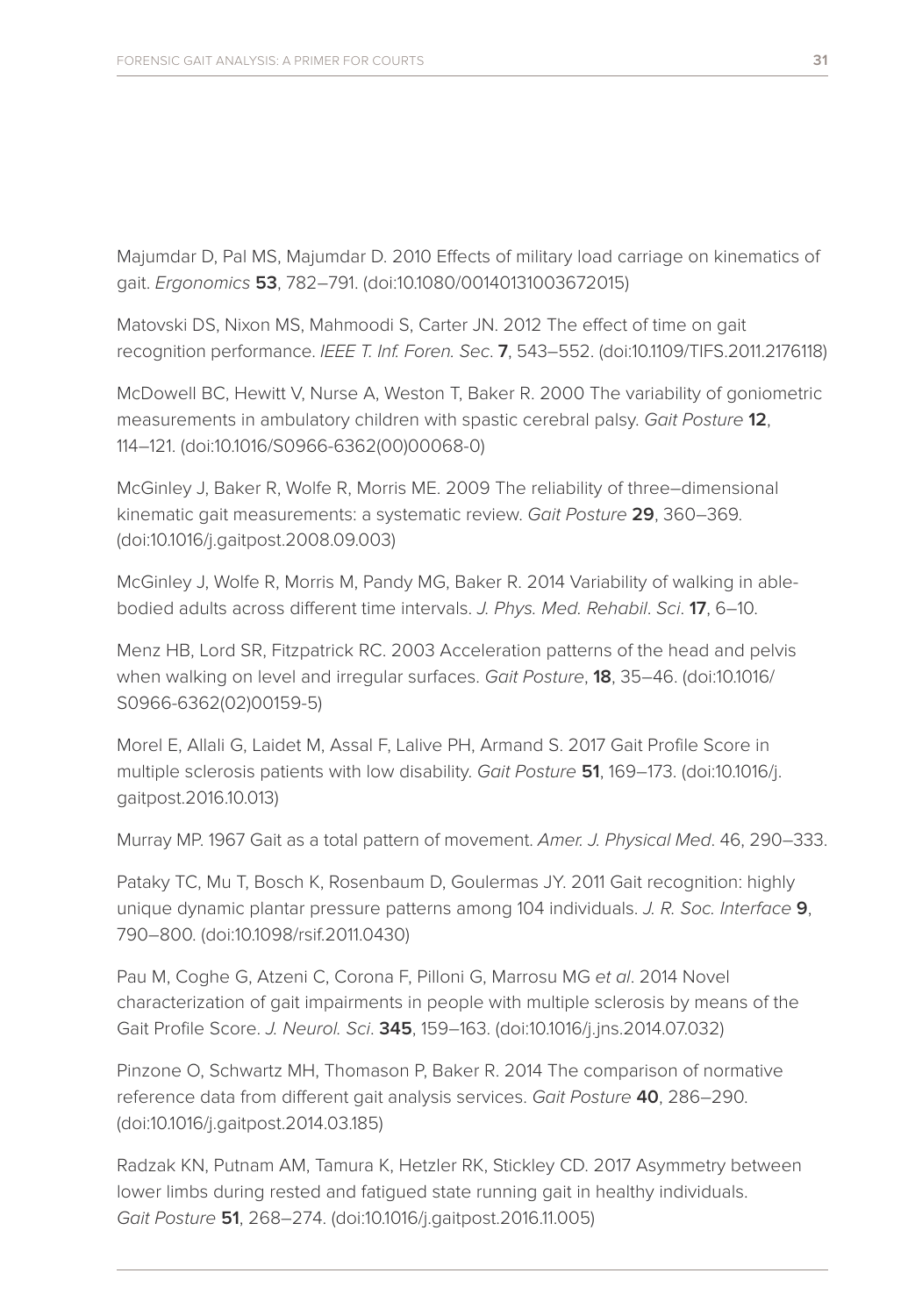Majumdar D, Pal MS, Majumdar D. 2010 Effects of military load carriage on kinematics of gait. *Ergonomics* **53**, 782–791. (doi:10.1080/00140131003672015)

Matovski DS, Nixon MS, Mahmoodi S, Carter JN. 2012 The effect of time on gait recognition performance. *IEEE T. Inf. Foren. Sec*. **7**, 543–552. (doi:10.1109/TIFS.2011.2176118)

McDowell BC, Hewitt V, Nurse A, Weston T, Baker R. 2000 The variability of goniometric measurements in ambulatory children with spastic cerebral palsy. *Gait Posture* **12**, 114–121. (doi:10.1016/S0966-6362(00)00068-0)

McGinley J, Baker R, Wolfe R, Morris ME. 2009 The reliability of three–dimensional kinematic gait measurements: a systematic review. *Gait Posture* **29**, 360–369. (doi:10.1016/j.gaitpost.2008.09.003)

McGinley J, Wolfe R, Morris M, Pandy MG, Baker R. 2014 Variability of walking in ablebodied adults across different time intervals. *J. Phys. Med. Rehabil*. *Sci*. **17**, 6–10.

Menz HB, Lord SR, Fitzpatrick RC. 2003 Acceleration patterns of the head and pelvis when walking on level and irregular surfaces. *Gait Posture*, **18**, 35–46. (doi:10.1016/ S0966-6362(02)00159-5)

Morel E, Allali G, Laidet M, Assal F, Lalive PH, Armand S. 2017 Gait Profile Score in multiple sclerosis patients with low disability. *Gait Posture* **51**, 169–173. (doi:10.1016/j. gaitpost.2016.10.013)

Murray MP. 1967 Gait as a total pattern of movement. *Amer. J. Physical Med*. 46, 290–333.

Pataky TC, Mu T, Bosch K, Rosenbaum D, Goulermas JY. 2011 Gait recognition: highly unique dynamic plantar pressure patterns among 104 individuals. *J. R. Soc. Interface* **9**, 790–800. (doi:10.1098/rsif.2011.0430)

Pau M, Coghe G, Atzeni C, Corona F, Pilloni G, Marrosu MG *et al*. 2014 Novel characterization of gait impairments in people with multiple sclerosis by means of the Gait Profile Score. *J. Neurol. Sci*. **345**, 159–163. (doi:10.1016/j.jns.2014.07.032)

Pinzone O, Schwartz MH, Thomason P, Baker R. 2014 The comparison of normative reference data from different gait analysis services. *Gait Posture* **40**, 286–290. (doi:10.1016/j.gaitpost.2014.03.185)

Radzak KN, Putnam AM, Tamura K, Hetzler RK, Stickley CD. 2017 Asymmetry between lower limbs during rested and fatigued state running gait in healthy individuals. *Gait Posture* **51**, 268–274. (doi:10.1016/j.gaitpost.2016.11.005)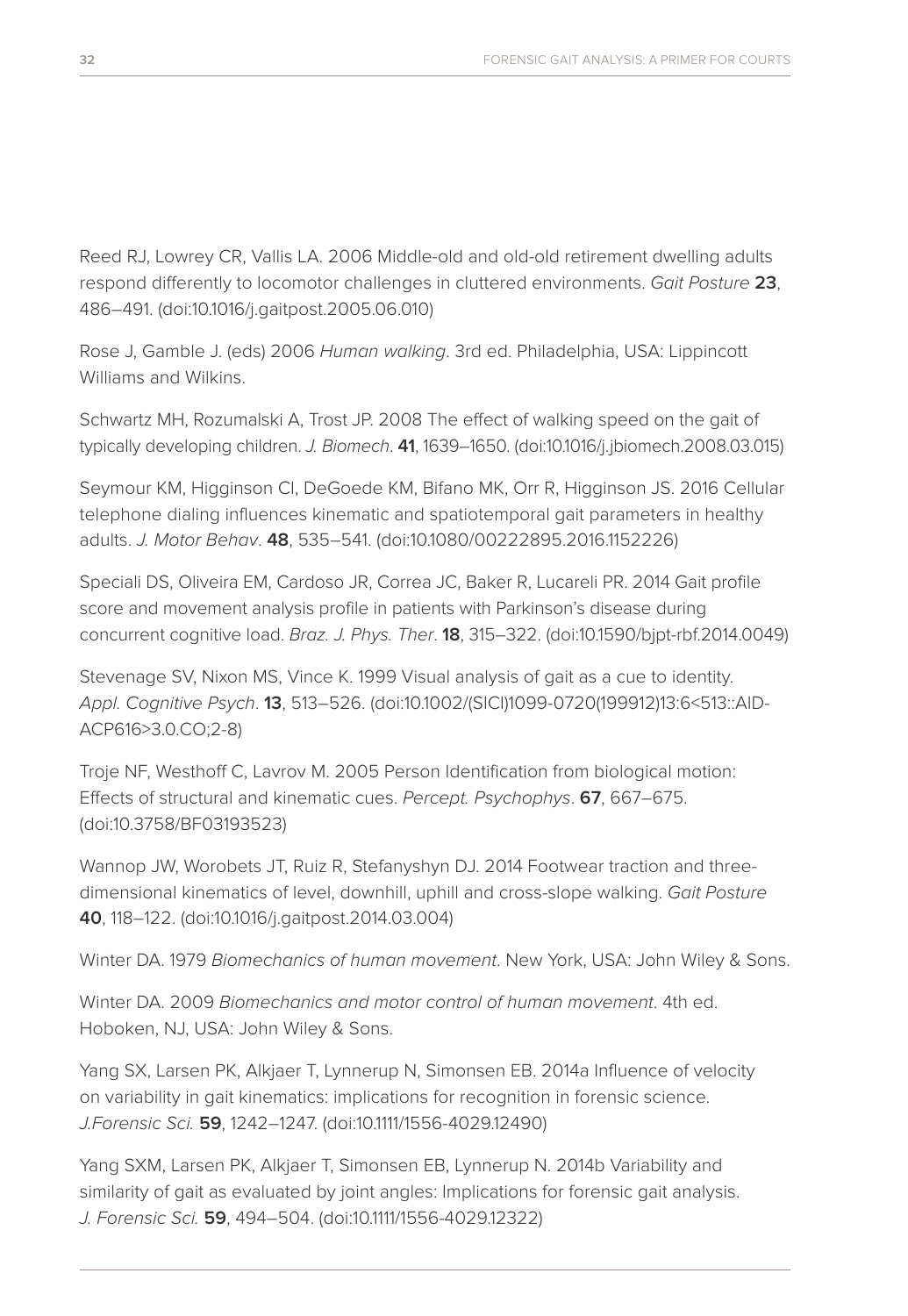Reed RJ, Lowrey CR, Vallis LA. 2006 Middle-old and old-old retirement dwelling adults respond differently to locomotor challenges in cluttered environments. *Gait Posture* **23**, 486–491. (doi:10.1016/j.gaitpost.2005.06.010)

Rose J, Gamble J. (eds) 2006 *Human walking*. 3rd ed. Philadelphia, USA: Lippincott Williams and Wilkins.

Schwartz MH, Rozumalski A, Trost JP. 2008 The effect of walking speed on the gait of typically developing children. *J. Biomech*. **41**, 1639–1650. (doi:10.1016/j.jbiomech.2008.03.015)

Seymour KM, Higginson CI, DeGoede KM, Bifano MK, Orr R, Higginson JS. 2016 Cellular telephone dialing influences kinematic and spatiotemporal gait parameters in healthy adults. *J. Motor Behav*. **48**, 535–541. (doi:10.1080/00222895.2016.1152226)

Speciali DS, Oliveira EM, Cardoso JR, Correa JC, Baker R, Lucareli PR. 2014 Gait profile score and movement analysis profile in patients with Parkinson's disease during concurrent cognitive load. *Braz. J. Phys. Ther*. **18**, 315–322. (doi:10.1590/bjpt-rbf.2014.0049)

Stevenage SV, Nixon MS, Vince K. 1999 Visual analysis of gait as a cue to identity. *Appl. Cognitive Psych*. **13**, 513–526. (doi:10.1002/(SICI)1099-0720(199912)13:6<513::AID-ACP616>3.0.CO;2-8)

Troje NF, Westhoff C, Lavrov M. 2005 Person Identification from biological motion: Effects of structural and kinematic cues. *Percept. Psychophys*. **67**, 667–675. (doi:10.3758/BF03193523)

Wannop JW, Worobets JT, Ruiz R, Stefanyshyn DJ. 2014 Footwear traction and threedimensional kinematics of level, downhill, uphill and cross-slope walking. *Gait Posture* **40**, 118–122. (doi:10.1016/j.gaitpost.2014.03.004)

Winter DA. 1979 *Biomechanics of human movement*. New York, USA: John Wiley & Sons.

Winter DA. 2009 *Biomechanics and motor control of human movement*. 4th ed. Hoboken, NJ, USA: John Wiley & Sons.

Yang SX, Larsen PK, Alkjaer T, Lynnerup N, Simonsen EB. 2014a Influence of velocity on variability in gait kinematics: implications for recognition in forensic science. *J.Forensic Sci.* **59**, 1242–1247. (doi:10.1111/1556-4029.12490)

Yang SXM, Larsen PK, Alkjaer T, Simonsen EB, Lynnerup N. 2014b Variability and similarity of gait as evaluated by joint angles: Implications for forensic gait analysis. *J. Forensic Sci.* **59**, 494–504. (doi:10.1111/1556-4029.12322)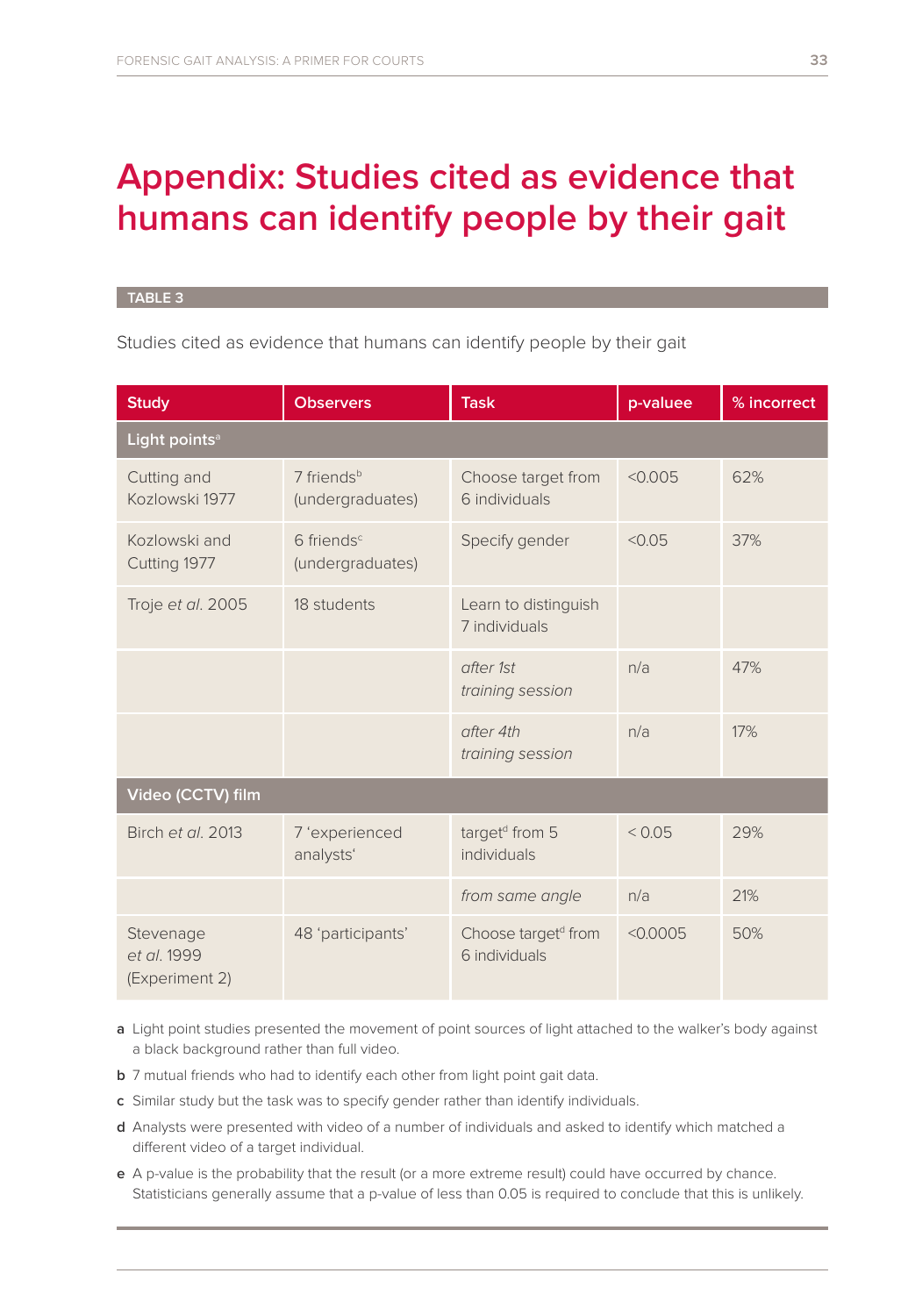# **Appendix: Studies cited as evidence that humans can identify people by their gait**

#### **TABLE 3**

Studies cited as evidence that humans can identify people by their gait

| <b>Study</b>                               | <b>Observers</b>                             | <b>Task</b>                                      | p-valuee | % incorrect |  |  |  |  |  |
|--------------------------------------------|----------------------------------------------|--------------------------------------------------|----------|-------------|--|--|--|--|--|
| Light points <sup>a</sup>                  |                                              |                                                  |          |             |  |  |  |  |  |
| Cutting and<br>Kozlowski 1977              | 7 friends <sup>b</sup><br>(undergraduates)   | Choose target from<br>6 individuals              | < 0.005  | 62%         |  |  |  |  |  |
| Kozlowski and<br>Cutting 1977              | $6$ friends <sup>c</sup><br>(undergraduates) | Specify gender                                   | < 0.05   | 37%         |  |  |  |  |  |
| Troje et al. 2005                          | 18 students                                  | Learn to distinguish<br>7 individuals            |          |             |  |  |  |  |  |
|                                            |                                              | after 1st<br>training session                    | n/a      | 47%         |  |  |  |  |  |
|                                            |                                              | after 4th<br>training session                    | n/a      | 17%         |  |  |  |  |  |
| Video (CCTV) film                          |                                              |                                                  |          |             |  |  |  |  |  |
| Birch et al. 2013                          | 7 'experienced<br>analysts'                  | target <sup>d</sup> from 5<br>individuals        | < 0.05   | 29%         |  |  |  |  |  |
|                                            |                                              | from same angle                                  | n/a      | 21%         |  |  |  |  |  |
| Stevenage<br>et al. 1999<br>(Experiment 2) | 48 'participants'                            | Choose target <sup>d</sup> from<br>6 individuals | < 0.0005 | 50%         |  |  |  |  |  |

- **a** Light point studies presented the movement of point sources of light attached to the walker's body against a black background rather than full video.
- **b** 7 mutual friends who had to identify each other from light point gait data.
- **c** Similar study but the task was to specify gender rather than identify individuals.
- **d** Analysts were presented with video of a number of individuals and asked to identify which matched a different video of a target individual.
- **e** A p-value is the probability that the result (or a more extreme result) could have occurred by chance. Statisticians generally assume that a p-value of less than 0.05 is required to conclude that this is unlikely.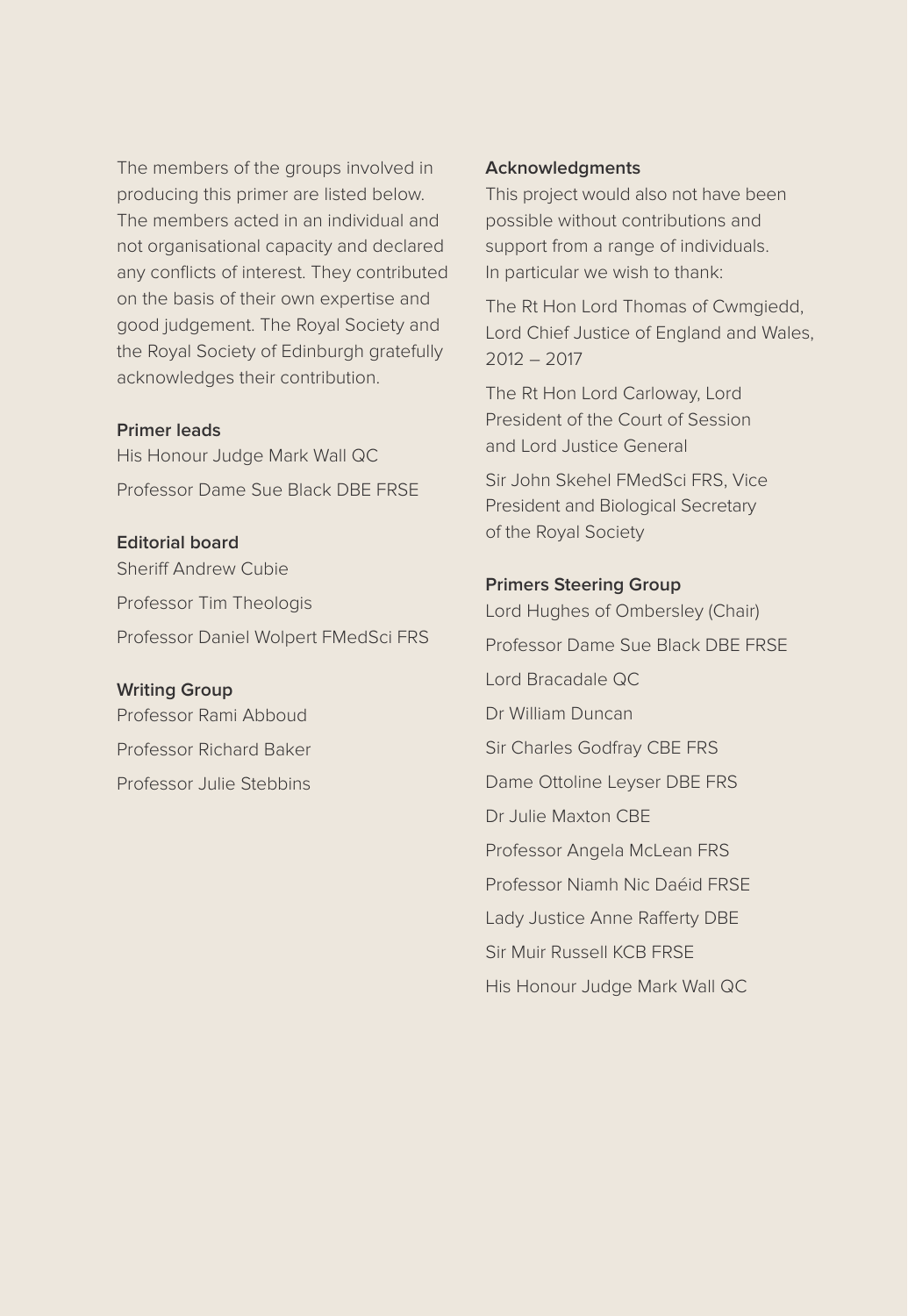The members of the groups involved in producing this primer are listed below. The members acted in an individual and not organisational capacity and declared any conflicts of interest. They contributed on the basis of their own expertise and good judgement. The Royal Society and the Royal Society of Edinburgh gratefully acknowledges their contribution.

### **Primer leads**

His Honour Judge Mark Wall QC Professor Dame Sue Black DBE FRSE

### **Editorial board**

Sheriff Andrew Cubie Professor Tim Theologis Professor Daniel Wolpert FMedSci FRS

### **Writing Group**

Professor Rami Abboud Professor Richard Baker Professor Julie Stebbins

#### **Acknowledgments**

This project would also not have been possible without contributions and support from a range of individuals. In particular we wish to thank:

The Rt Hon Lord Thomas of Cwmgiedd, Lord Chief Justice of England and Wales, 2012 – 2017

The Rt Hon Lord Carloway, Lord President of the Court of Session and Lord Justice General

Sir John Skehel FMedSci FRS, Vice President and Biological Secretary of the Royal Society

#### **Primers Steering Group**

Lord Hughes of Ombersley (Chair) Professor Dame Sue Black DBE FRSE Lord Bracadale QC Dr William Duncan Sir Charles Godfray CBE FRS Dame Ottoline Leyser DBE FRS Dr Julie Maxton CBE Professor Angela McLean FRS Professor Niamh Nic Daéid FRSE Lady Justice Anne Rafferty DBE Sir Muir Russell KCB FRSE His Honour Judge Mark Wall QC